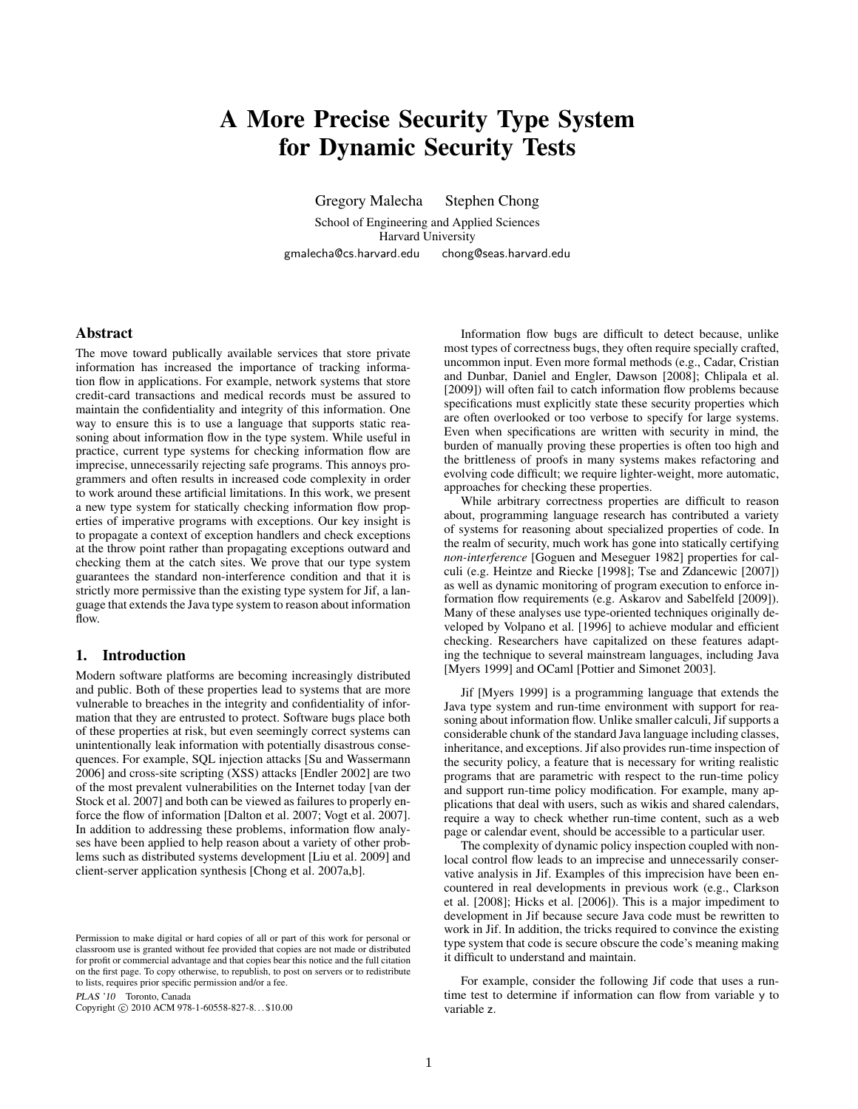# A More Precise Security Type System for Dynamic Security Tests

Gregory Malecha Stephen Chong

School of Engineering and Applied Sciences Harvard University gmalecha@cs.harvard.edu chong@seas.harvard.edu

# Abstract

The move toward publically available services that store private information has increased the importance of tracking information flow in applications. For example, network systems that store credit-card transactions and medical records must be assured to maintain the confidentiality and integrity of this information. One way to ensure this is to use a language that supports static reasoning about information flow in the type system. While useful in practice, current type systems for checking information flow are imprecise, unnecessarily rejecting safe programs. This annoys programmers and often results in increased code complexity in order to work around these artificial limitations. In this work, we present a new type system for statically checking information flow properties of imperative programs with exceptions. Our key insight is to propagate a context of exception handlers and check exceptions at the throw point rather than propagating exceptions outward and checking them at the catch sites. We prove that our type system guarantees the standard non-interference condition and that it is strictly more permissive than the existing type system for Jif, a language that extends the Java type system to reason about information flow.

# 1. Introduction

Modern software platforms are becoming increasingly distributed and public. Both of these properties lead to systems that are more vulnerable to breaches in the integrity and confidentiality of information that they are entrusted to protect. Software bugs place both of these properties at risk, but even seemingly correct systems can unintentionally leak information with potentially disastrous consequences. For example, SQL injection attacks [\[Su and Wassermann](#page-11-0) [2006\]](#page-11-0) and cross-site scripting (XSS) attacks [\[Endler 2002\]](#page-11-1) are two of the most prevalent vulnerabilities on the Internet today [\[van der](#page-11-2) [Stock et al. 2007\]](#page-11-2) and both can be viewed as failures to properly enforce the flow of information [\[Dalton et al. 2007;](#page-11-3) [Vogt et al. 2007\]](#page-11-4). In addition to addressing these problems, information flow analyses have been applied to help reason about a variety of other problems such as distributed systems development [\[Liu et al. 2009\]](#page-11-5) and client-server application synthesis [\[Chong et al. 2007a,](#page-11-6)[b\]](#page-11-7).

PLAS '10 Toronto, Canada

Copyright © 2010 ACM 978-1-60558-827-8... \$10.00

Information flow bugs are difficult to detect because, unlike most types of correctness bugs, they often require specially crafted, uncommon input. Even more formal methods (e.g., [Cadar, Cristian](#page-11-8) [and Dunbar, Daniel and Engler, Dawson](#page-11-8) [\[2008\]](#page-11-8); [Chlipala et al.](#page-11-9) [\[2009\]](#page-11-9)) will often fail to catch information flow problems because specifications must explicitly state these security properties which are often overlooked or too verbose to specify for large systems. Even when specifications are written with security in mind, the burden of manually proving these properties is often too high and the brittleness of proofs in many systems makes refactoring and evolving code difficult; we require lighter-weight, more automatic, approaches for checking these properties.

While arbitrary correctness properties are difficult to reason about, programming language research has contributed a variety of systems for reasoning about specialized properties of code. In the realm of security, much work has gone into statically certifying *non-interference* [\[Goguen and Meseguer 1982\]](#page-11-10) properties for calculi (e.g. [Heintze and Riecke](#page-11-11) [\[1998\]](#page-11-11); [Tse and Zdancewic](#page-11-12) [\[2007\]](#page-11-12)) as well as dynamic monitoring of program execution to enforce information flow requirements (e.g. [Askarov and Sabelfeld](#page-10-0) [\[2009\]](#page-10-0)). Many of these analyses use type-oriented techniques originally developed by [Volpano et al.](#page-11-13) [\[1996\]](#page-11-13) to achieve modular and efficient checking. Researchers have capitalized on these features adapting the technique to several mainstream languages, including Java [\[Myers 1999\]](#page-11-14) and OCaml [\[Pottier and Simonet 2003\]](#page-11-15).

Jif [\[Myers 1999\]](#page-11-14) is a programming language that extends the Java type system and run-time environment with support for reasoning about information flow. Unlike smaller calculi, Jif supports a considerable chunk of the standard Java language including classes, inheritance, and exceptions. Jif also provides run-time inspection of the security policy, a feature that is necessary for writing realistic programs that are parametric with respect to the run-time policy and support run-time policy modification. For example, many applications that deal with users, such as wikis and shared calendars, require a way to check whether run-time content, such as a web page or calendar event, should be accessible to a particular user.

The complexity of dynamic policy inspection coupled with nonlocal control flow leads to an imprecise and unnecessarily conservative analysis in Jif. Examples of this imprecision have been encountered in real developments in previous work (e.g., [Clarkson](#page-11-16) [et al.](#page-11-16) [\[2008\]](#page-11-16); [Hicks et al.](#page-11-17) [\[2006\]](#page-11-17)). This is a major impediment to development in Jif because secure Java code must be rewritten to work in Jif. In addition, the tricks required to convince the existing type system that code is secure obscure the code's meaning making it difficult to understand and maintain.

For example, consider the following Jif code that uses a runtime test to determine if information can flow from variable y to variable z.

Permission to make digital or hard copies of all or part of this work for personal or classroom use is granted without fee provided that copies are not made or distributed for profit or commercial advantage and that copies bear this notice and the full citation on the first page. To copy otherwise, to republish, to post on servers or to redistribute to lists, requires prior specific permission and/or a fee.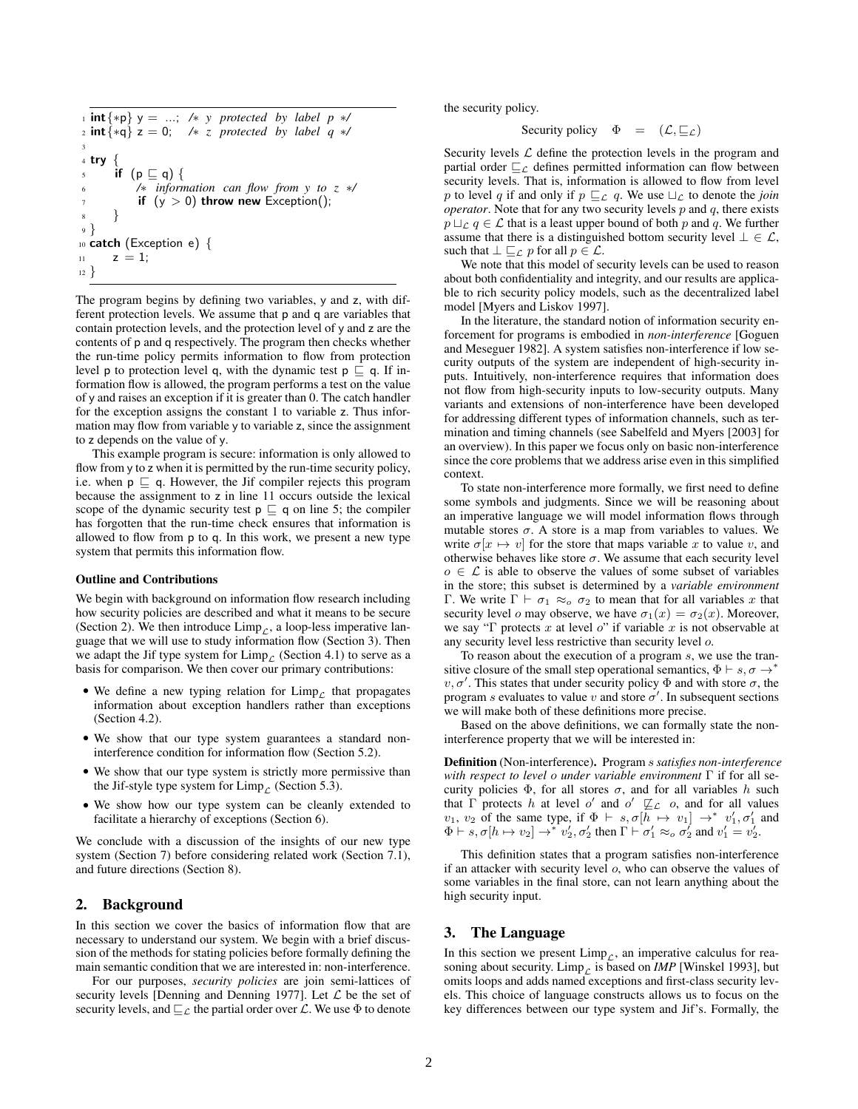```
1 int{∗p} y = ...; /∗ y protected by label p ∗/
 2 int{∗q} z = 0; /∗ z protected by label q ∗/
 3
4 try {
5 if (p \sqsubseteq q) {
          6 /∗ information can flow from y to z ∗/
          if (y > 0) throw new Exception();
8 }
9 }
10 catch (Exception e) {
11 z = 1;
12 }
```
The program begins by defining two variables, y and z, with different protection levels. We assume that p and q are variables that contain protection levels, and the protection level of y and z are the contents of p and q respectively. The program then checks whether the run-time policy permits information to flow from protection level p to protection level q, with the dynamic test  $p \subseteq q$ . If information flow is allowed, the program performs a test on the value of y and raises an exception if it is greater than 0. The catch handler for the exception assigns the constant 1 to variable z. Thus information may flow from variable y to variable z, since the assignment to z depends on the value of y.

This example program is secure: information is only allowed to flow from y to z when it is permitted by the run-time security policy, i.e. when  $p \sqsubseteq q$ . However, the Jif compiler rejects this program because the assignment to z in line 11 occurs outside the lexical scope of the dynamic security test  $p \sqsubseteq q$  on line 5; the compiler has forgotten that the run-time check ensures that information is allowed to flow from p to q. In this work, we present a new type system that permits this information flow.

#### Outline and Contributions

We begin with background on information flow research including how security policies are described and what it means to be secure (Section [2\)](#page-1-0). We then introduce  $\lim_{\varepsilon}$ , a loop-less imperative language that we will use to study information flow (Section [3\)](#page-1-1). Then we adapt the Jif type system for  $\lim p_{\mathcal{L}}$  (Section [4.1\)](#page-2-0) to serve as a basis for comparison. We then cover our primary contributions:

- We define a new typing relation for  $\lim_{\varepsilon \to 0}$  that propagates information about exception handlers rather than exceptions (Section [4.2\)](#page-6-0).
- We show that our type system guarantees a standard noninterference condition for information flow (Section [5.2\)](#page-8-0).
- We show that our type system is strictly more permissive than the Jif-style type system for  $\lim_{C}$  (Section [5.3\)](#page-8-1).
- We show how our type system can be cleanly extended to facilitate a hierarchy of exceptions (Section [6\)](#page-9-0).

We conclude with a discussion of the insights of our new type system (Section [7\)](#page-9-1) before considering related work (Section [7.1\)](#page-10-1), and future directions (Section [8\)](#page-10-2).

## <span id="page-1-0"></span>2. Background

In this section we cover the basics of information flow that are necessary to understand our system. We begin with a brief discussion of the methods for stating policies before formally defining the main semantic condition that we are interested in: non-interference.

For our purposes, *security policies* are join semi-lattices of security levels [\[Denning and Denning 1977\]](#page-11-18). Let  $\mathcal L$  be the set of security levels, and  $\sqsubseteq_{\mathcal{L}}$  the partial order over  $\mathcal{L}$ . We use  $\Phi$  to denote the security policy.

Security policy 
$$
\Phi = (\mathcal{L}, \sqsubseteq_{\mathcal{L}})
$$

Security levels  $\mathcal L$  define the protection levels in the program and partial order  $\sqsubseteq_{\mathcal{L}}$  defines permitted information can flow between security levels. That is, information is allowed to flow from level p to level q if and only if  $p \sqsubseteq_{\mathcal{L}} q$ . We use  $\sqcup_{\mathcal{L}}$  to denote the *join operator*. Note that for any two security levels  $p$  and  $q$ , there exists  $p \sqcup_{\mathcal{L}} q \in \mathcal{L}$  that is a least upper bound of both p and q. We further assume that there is a distinguished bottom security level  $\bot \in \mathcal{L}$ , such that  $\bot \sqsubset_{\mathcal{L}} p$  for all  $p \in \mathcal{L}$ .

We note that this model of security levels can be used to reason about both confidentiality and integrity, and our results are applicable to rich security policy models, such as the decentralized label model [\[Myers and Liskov 1997\]](#page-11-19).

In the literature, the standard notion of information security enforcement for programs is embodied in *non-interference* [\[Goguen](#page-11-10) [and Meseguer 1982\]](#page-11-10). A system satisfies non-interference if low security outputs of the system are independent of high-security inputs. Intuitively, non-interference requires that information does not flow from high-security inputs to low-security outputs. Many variants and extensions of non-interference have been developed for addressing different types of information channels, such as termination and timing channels (see [Sabelfeld and Myers](#page-11-20) [\[2003\]](#page-11-20) for an overview). In this paper we focus only on basic non-interference since the core problems that we address arise even in this simplified context.

To state non-interference more formally, we first need to define some symbols and judgments. Since we will be reasoning about an imperative language we will model information flows through mutable stores  $\sigma$ . A store is a map from variables to values. We write  $\sigma[x \mapsto v]$  for the store that maps variable x to value v, and otherwise behaves like store  $\sigma$ . We assume that each security level  $o \in \mathcal{L}$  is able to observe the values of some subset of variables in the store; this subset is determined by a *variable environment* Γ. We write  $\Gamma \vdash \sigma_1 \approx_o \sigma_2$  to mean that for all variables x that security level *o* may observe, we have  $\sigma_1(x) = \sigma_2(x)$ . Moreover, we say "Γ protects x at level o" if variable x is not observable at any security level less restrictive than security level o.

To reason about the execution of a program s, we use the transitive closure of the small step operational semantics,  $\Phi \vdash s, \sigma \rightarrow^*$  $v, \sigma'$ . This states that under security policy  $\Phi$  and with store  $\sigma$ , the program s evaluates to value v and store  $\sigma'$ . In subsequent sections we will make both of these definitions more precise.

Based on the above definitions, we can formally state the noninterference property that we will be interested in:

Definition (Non-interference). Program s *satisfies non-interference with respect to level* o *under variable environment* Γ if for all security policies  $\Phi$ , for all stores  $\sigma$ , and for all variables h such that  $\Gamma$  protects h at level o' and o'  $\mathbb{Z}_{\mathcal{L}}$  o, and for all values  $v_1, v_2$  of the same type, if  $\Phi \vdash s, \sigma[\overline{h} \mapsto v_1] \rightarrow^* v'_1, \sigma'_1$  and  $\Phi \vdash s, \sigma [h \mapsto v_2] \rightarrow^* v_2', \sigma_2'$  then  $\Gamma \vdash \sigma_1' \approx_o \sigma_2'$  and  $v_1' = v_2'$ .

This definition states that a program satisfies non-interference if an attacker with security level o, who can observe the values of some variables in the final store, can not learn anything about the high security input.

## <span id="page-1-1"></span>3. The Language

In this section we present  $\lim_{\mathcal{L}}$ , an imperative calculus for reasoning about security. Limp<sub>c</sub> is based on *IMP* [\[Winskel 1993\]](#page-11-21), but omits loops and adds named exceptions and first-class security levels. This choice of language constructs allows us to focus on the key differences between our type system and Jif's. Formally, the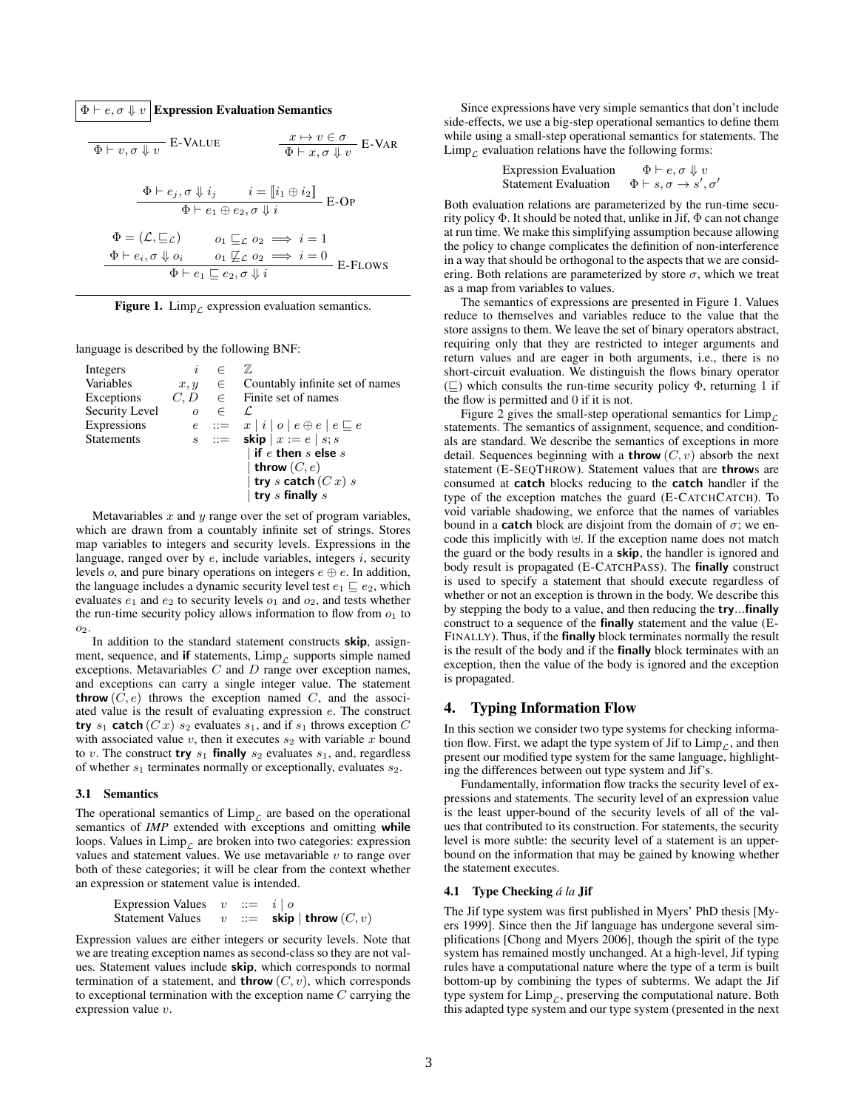$\Phi \vdash e, \sigma \Downarrow v$  Expression Evaluation Semantics

$$
\Phi \vdash v, \sigma \Downarrow v \quad \text{E-VALUE} \qquad \qquad \frac{x \mapsto v \in \sigma}{\Phi \vdash x, \sigma \Downarrow v} \quad \text{E-VAR}
$$
\n
$$
\frac{\Phi \vdash e_j, \sigma \Downarrow i_j \qquad i = [i_1 \oplus i_2]}{\Phi \vdash e_1 \oplus e_2, \sigma \Downarrow i} \quad \text{E-OP}
$$
\n
$$
\Phi = (\mathcal{L}, \sqsubseteq \mathcal{L}) \qquad o_1 \sqsubseteq \mathcal{L} o_2 \implies i = 1
$$
\n
$$
\frac{\Phi \vdash e_i, \sigma \Downarrow o_i \qquad o_1 \not\sqsubseteq \mathcal{L} o_2 \implies i = 0}{\Phi \vdash e_1 \sqsubseteq e_2, \sigma \Downarrow i} \quad \text{E-Flows}
$$

<span id="page-2-1"></span>Figure 1. Limp<sub>c</sub> expression evaluation semantics.

language is described by the following BNF:

| Integers          | $\dot{i}$  | $\subset$ | 77,                                              |
|-------------------|------------|-----------|--------------------------------------------------|
| Variables         | $x, y \in$ |           | Countably infinite set of names                  |
| Exceptions        |            |           | $C, D \in$ Finite set of names                   |
| Security Level    | $\Omega$   | $\in$     | L.                                               |
| Expressions       |            |           | $e ::= x   i   o   e \oplus e   e \sqsubseteq e$ |
| <b>Statements</b> |            |           | $s$ ::= skip $x := e \mid s; s$                  |
|                   |            |           | $\vert$ if $e$ then $s$ else $s$                 |
|                   |            |           | throw $(C, e)$                                   |
|                   |            |           | try s catch $(Cx)$ s                             |
|                   |            |           | try $s$ finally $s$                              |

Metavariables  $x$  and  $y$  range over the set of program variables, which are drawn from a countably infinite set of strings. Stores map variables to integers and security levels. Expressions in the language, ranged over by  $e$ , include variables, integers  $i$ , security levels *o*, and pure binary operations on integers  $e \oplus e$ . In addition, the language includes a dynamic security level test  $e_1 \sqsubseteq e_2$ , which evaluates  $e_1$  and  $e_2$  to security levels  $o_1$  and  $o_2$ , and tests whether the run-time security policy allows information to flow from  $o_1$  to 02.

In addition to the standard statement constructs skip, assignment, sequence, and if statements,  $\lim_{\varepsilon}$  supports simple named exceptions. Metavariables  $C$  and  $D$  range over exception names, and exceptions can carry a single integer value. The statement **throw**  $(C, e)$  throws the exception named C, and the associated value is the result of evaluating expression e. The construct try  $s_1$  catch  $(Cx)$   $s_2$  evaluates  $s_1$ , and if  $s_1$  throws exception  $C$ with associated value  $v$ , then it executes  $s_2$  with variable  $x$  bound to v. The construct try  $s_1$  finally  $s_2$  evaluates  $s_1$ , and, regardless of whether  $s_1$  terminates normally or exceptionally, evaluates  $s_2$ .

#### 3.1 Semantics

The operational semantics of  $\lim_{\mathcal{L}}$  are based on the operational semantics of *IMP* extended with exceptions and omitting while loops. Values in  $\lim_{\rho \to 0}$  are broken into two categories: expression values and statement values. We use metavariable  $v$  to range over both of these categories; it will be clear from the context whether an expression or statement value is intended.

| Expression Values | $v$ | ::= | $i \mid o$  |              |
|-------------------|-----|-----|-------------|--------------|
| Statement Values  | $v$ | ::= | <b>skip</b> | <b>throw</b> |

Expression values are either integers or security levels. Note that we are treating exception names as second-class so they are not values. Statement values include skip, which corresponds to normal termination of a statement, and **throw**  $(C, v)$ , which corresponds to exceptional termination with the exception name  $C$  carrying the expression value v.

Since expressions have very simple semantics that don't include side-effects, we use a big-step operational semantics to define them while using a small-step operational semantics for statements. The  $\lim_{\Gamma}$  evaluation relations have the following forms:

> Expression Evaluation  $\Phi \vdash e, \sigma \Downarrow v$ Statement Evaluation  $',\sigma'$

Both evaluation relations are parameterized by the run-time security policy  $\Phi$ . It should be noted that, unlike in Jif,  $\Phi$  can not change at run time. We make this simplifying assumption because allowing the policy to change complicates the definition of non-interference in a way that should be orthogonal to the aspects that we are considering. Both relations are parameterized by store  $\sigma$ , which we treat as a map from variables to values.

The semantics of expressions are presented in Figure [1.](#page-2-1) Values reduce to themselves and variables reduce to the value that the store assigns to them. We leave the set of binary operators abstract, requiring only that they are restricted to integer arguments and return values and are eager in both arguments, i.e., there is no short-circuit evaluation. We distinguish the flows binary operator  $(\sqsubseteq)$  which consults the run-time security policy  $\Phi$ , returning 1 if the flow is permitted and 0 if it is not.

Figure [2](#page-3-0) gives the small-step operational semantics for  $\lim_{\Delta} P$ statements. The semantics of assignment, sequence, and conditionals are standard. We describe the semantics of exceptions in more detail. Sequences beginning with a **throw**  $(C, v)$  absorb the next statement (E-SEQTHROW). Statement values that are throws are consumed at catch blocks reducing to the catch handler if the type of the exception matches the guard (E-CATCHCATCH). To void variable shadowing, we enforce that the names of variables bound in a **catch** block are disjoint from the domain of  $\sigma$ ; we encode this implicitly with  $\biguplus$ . If the exception name does not match the guard or the body results in a skip, the handler is ignored and body result is propagated (E-CATCHPASS). The finally construct is used to specify a statement that should execute regardless of whether or not an exception is thrown in the body. We describe this by stepping the body to a value, and then reducing the try...finally construct to a sequence of the finally statement and the value (E-FINALLY). Thus, if the finally block terminates normally the result is the result of the body and if the finally block terminates with an exception, then the value of the body is ignored and the exception is propagated.

# 4. Typing Information Flow

In this section we consider two type systems for checking information flow. First, we adapt the type system of Jif to  $\lim_{\varepsilon}$ , and then present our modified type system for the same language, highlighting the differences between out type system and Jif's.

Fundamentally, information flow tracks the security level of expressions and statements. The security level of an expression value is the least upper-bound of the security levels of all of the values that contributed to its construction. For statements, the security level is more subtle: the security level of a statement is an upperbound on the information that may be gained by knowing whether the statement executes.

#### <span id="page-2-0"></span>4.1 Type Checking *á la* Jif

The Jif type system was first published in Myers' PhD thesis [\[My](#page-11-14)[ers 1999\]](#page-11-14). Since then the Jif language has undergone several simplifications [\[Chong and Myers 2006\]](#page-11-22), though the spirit of the type system has remained mostly unchanged. At a high-level, Jif typing rules have a computational nature where the type of a term is built bottom-up by combining the types of subterms. We adapt the Jif type system for  $\lim_{\mathcal{L}}$ , preserving the computational nature. Both this adapted type system and our type system (presented in the next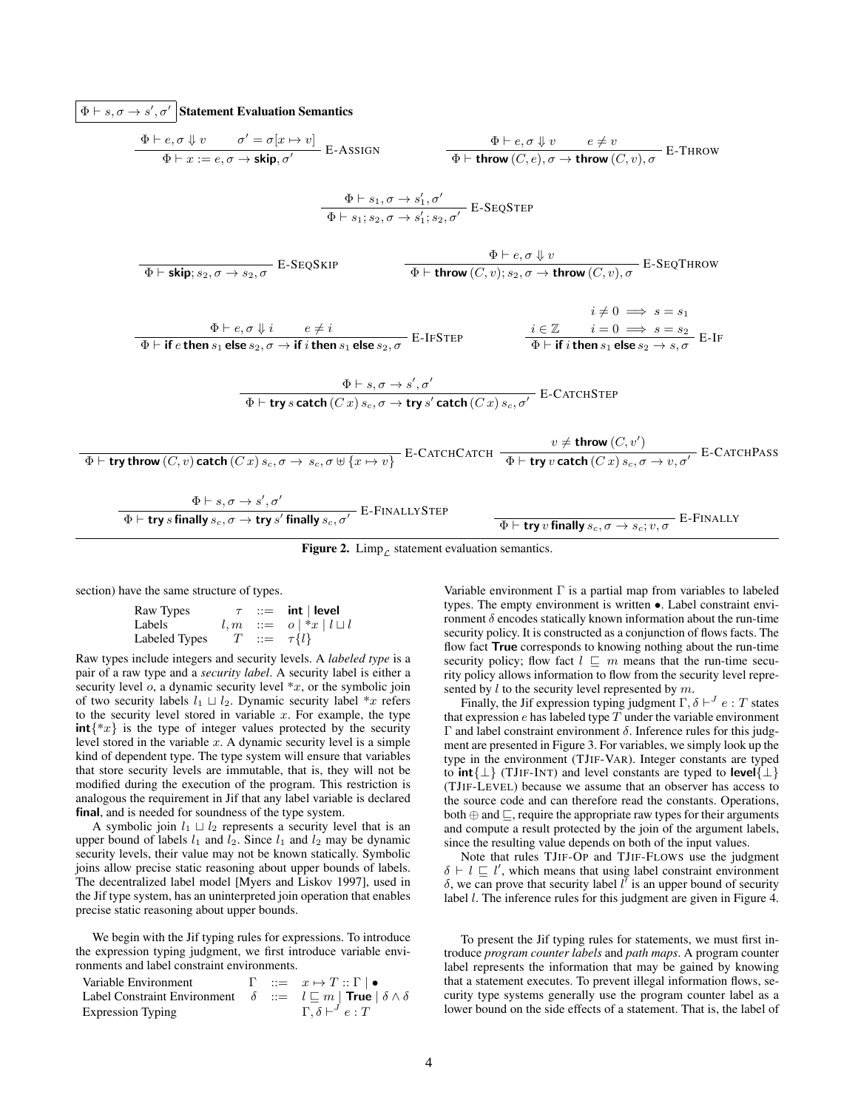$\Phi \vdash s, \sigma \to s', \sigma'$  Statement Evaluation Semantics

$$
\frac{\Phi \vdash e, \sigma \Downarrow v \qquad \sigma' = \sigma[x \rightarrow v]}{\Phi \vdash x := e, \sigma \rightarrow \text{skip}, \sigma'} \quad \text{E-ASSIGN} \qquad \frac{\Phi \vdash e, \sigma \Downarrow v \qquad e \neq v}{\Phi \vdash \text{throw}(C, e), \sigma \rightarrow \text{throw}(C, v), \sigma} \quad \text{E-THROW}
$$
\n
$$
\frac{\Phi \vdash s_1, \sigma \rightarrow s'_1, \sigma'}{\Phi \vdash s_1; s_2, \sigma \rightarrow s'_1; s_2, \sigma'} \quad \text{E-SEQSTEP}
$$
\n
$$
\frac{\Phi \vdash e, \sigma \Downarrow v}{\Phi \vdash \text{skip}; s_2, \sigma \rightarrow s'_2; s_2, \sigma'} \quad \frac{\Phi \vdash e, \sigma \Downarrow v}{\Phi \vdash \text{throw}(C, v); s_2, \sigma \rightarrow \text{throw}(C, v), \sigma} \quad \text{E-SEQTHROW}
$$
\n
$$
\frac{\phi \vdash e, \sigma \Downarrow i \qquad e \neq i}{\Phi \vdash \text{if } e \text{ then } s_1 \text{ else } s_2, \sigma \rightarrow \text{if } i \text{ then } s_1 \text{ else } s_2, \sigma} \quad \text{E-IFSTEP} \qquad \frac{i \in \mathbb{Z} \qquad i = 0 \implies s = s_1}{\Phi \vdash \text{if } i \text{ then } s_1 \text{ else } s_2, \sigma \rightarrow \text{if } i \text{ then } s_1 \text{ else } s_2, \sigma'} \quad \text{E-CATCHSTEP}
$$
\n
$$
\frac{\Phi \vdash s, \sigma \rightarrow s', \sigma'}{\Phi \vdash \text{try } s \text{ catch }(Cx) s_c, \sigma \rightarrow \text{try } s' \text{ catch }(Cx) s_c, \sigma'} \quad \text{E-CATCHSTEP}
$$
\n
$$
\frac{\Phi \vdash s, \sigma \rightarrow s', \sigma'}{\Phi \vdash \text{try } s \text{ finally } s_c, \sigma \rightarrow \text{try } s' \text{ finally } s_c, \sigma'} \quad \text{E-ENTALLYSTEP}
$$
\n
$$
\frac{\Phi \vdash s, \sigma \rightarrow s', \sigma'}{\Phi \vdash \text{try } s \text{ finally } s_c, \sigma \rightarrow \text{try } s' \text{ finally } s_c, \sigma'} \quad \text{E-FINALLYSTEP}
$$

<span id="page-3-0"></span>Figure 2. Limp<sub> $\mathcal{L}$ </sub> statement evaluation semantics.

section) have the same structure of types.

| Raw Types     |  | $\tau$ ::= int   level         |
|---------------|--|--------------------------------|
| Labels        |  | $l, m ::= o   *x   l \sqcup l$ |
| Labeled Types |  | $T \ ::= \tau \{l\}$           |

Raw types include integers and security levels. A *labeled type* is a pair of a raw type and a *security label*. A security label is either a security level  $o$ , a dynamic security level  $*x$ , or the symbolic join of two security labels  $l_1 \sqcup l_2$ . Dynamic security label \*x refers to the security level stored in variable  $x$ . For example, the type  $int\{x\}$  is the type of integer values protected by the security level stored in the variable  $x$ . A dynamic security level is a simple kind of dependent type. The type system will ensure that variables that store security levels are immutable, that is, they will not be modified during the execution of the program. This restriction is analogous the requirement in Jif that any label variable is declared final, and is needed for soundness of the type system.

A symbolic join  $l_1 \sqcup l_2$  represents a security level that is an upper bound of labels  $l_1$  and  $l_2$ . Since  $l_1$  and  $l_2$  may be dynamic security levels, their value may not be known statically. Symbolic joins allow precise static reasoning about upper bounds of labels. The decentralized label model [\[Myers and Liskov 1997\]](#page-11-19), used in the Jif type system, has an uninterpreted join operation that enables precise static reasoning about upper bounds.

We begin with the Jif typing rules for expressions. To introduce the expression typing judgment, we first introduce variable environments and label constraint environments.

| Variable Environment                                                                     |  | $\Gamma \quad ::= \quad x \mapsto T :: \Gamma \mid \bullet$ |
|------------------------------------------------------------------------------------------|--|-------------------------------------------------------------|
| Label Constraint Environment $\delta ::= l \sqsubseteq m  $ True $ \delta \wedge \delta$ |  |                                                             |
| <b>Expression Typing</b>                                                                 |  | $\Gamma, \delta \vdash^f e : T$                             |

Variable environment  $\Gamma$  is a partial map from variables to labeled types. The empty environment is written •. Label constraint environment δ encodes statically known information about the run-time security policy. It is constructed as a conjunction of flows facts. The flow fact True corresponds to knowing nothing about the run-time security policy; flow fact  $l \sqsubseteq m$  means that the run-time security policy allows information to flow from the security level represented by  $l$  to the security level represented by  $m$ .

Finally, the Jif expression typing judgment  $\Gamma, \delta \vdash^{J} e : T$  states that expression  $e$  has labeled type  $T$  under the variable environment Γ and label constraint environment δ. Inference rules for this judgment are presented in Figure [3.](#page-4-0) For variables, we simply look up the type in the environment (TJIF-VAR). Integer constants are typed to  $int\{\perp\}$  (TJIF-INT) and level constants are typed to level $\{\perp\}$ (TJIF-LEVEL) because we assume that an observer has access to the source code and can therefore read the constants. Operations, both  $\oplus$  and  $\sqsubseteq$ , require the appropriate raw types for their arguments and compute a result protected by the join of the argument labels, since the resulting value depends on both of the input values.

Note that rules TJIF-OP and TJIF-FLOWS use the judgment  $\delta \vdash l \sqsubseteq l'$ , which means that using label constraint environment  $\delta$ , we can prove that security label  $l^{\prime}$  is an upper bound of security label *l*. The inference rules for this judgment are given in Figure [4.](#page-4-1)

To present the Jif typing rules for statements, we must first introduce *program counter labels* and *path maps*. A program counter label represents the information that may be gained by knowing that a statement executes. To prevent illegal information flows, security type systems generally use the program counter label as a lower bound on the side effects of a statement. That is, the label of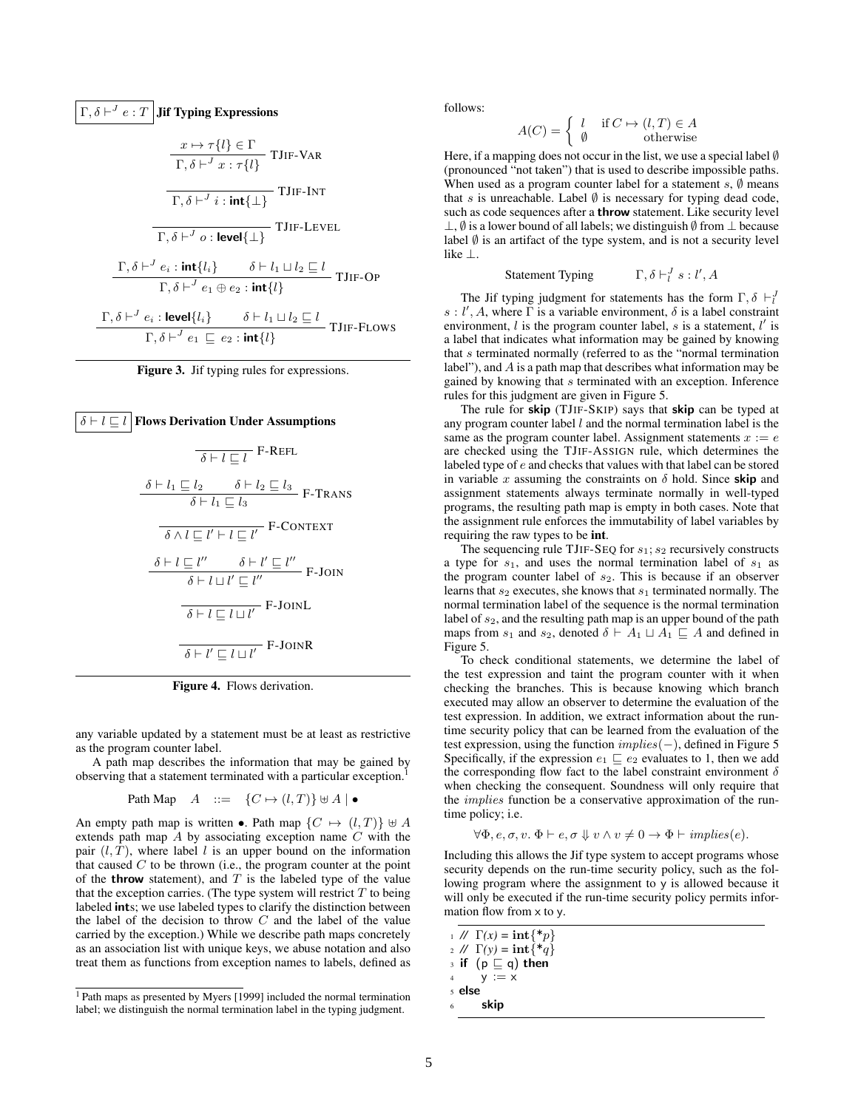$$
\Gamma, \delta \vdash^{J} e : T
$$
**Jif Typing Expressions**\n
$$
\frac{x \mapsto \tau\{l\} \in \Gamma}{\Gamma, \delta \vdash^{J} x : \tau\{l\}}
$$
\n
$$
\frac{\tau}{\Gamma, \delta \vdash^{J} x : \tau\{l\}}
$$
\n
$$
\frac{\tau}{\Gamma, \delta \vdash^{J} i : \text{int}\{\bot\}}
$$
\n
$$
\frac{\tau}{\Gamma, \delta \vdash^{J} \circ \text{! level}\{\bot\}}
$$
\n
$$
\frac{\tau}{\Gamma, \delta \vdash^{J} e_{i} : \text{int}\{l_{i}\}} \delta \vdash l_{1} \sqcup l_{2} \sqsubseteq l}{\tau \sqcup \tau \sqcup \Gamma, \delta \vdash^{J} e_{i} : \text{level}\{l_{i}\}}
$$
\n
$$
\frac{\tau}{\Gamma, \delta \vdash^{J} e_{i} : \text{level}\{l_{i}\}} \delta \vdash l_{1} \sqcup l_{2} \sqsubseteq l}{\tau \sqcup \tau \sqcup \Gamma, \delta \vdash^{J} e_{i} : \text{level}\{l_{i}\}} \frac{\delta \vdash l_{1} \sqcup l_{2} \sqsubseteq l}{\tau \sqcup \tau \sqcup \Gamma, \delta \vdash^{J} e_{i} \sqsubseteq e_{2} : \text{int}\{l\}}
$$

<span id="page-4-0"></span>



<span id="page-4-1"></span>Figure 4. Flows derivation.

any variable updated by a statement must be at least as restrictive as the program counter label.

A path map describes the information that may be gained by observing that a statement terminated with a particular exception.[1](#page-4-2)

Path Map 
$$
A ::= \{C \mapsto (l,T)\} \uplus A \mid \bullet
$$

An empty path map is written •. Path map  $\{C \mapsto (l, T)\} \uplus A$ extends path map A by associating exception name C with the pair  $(l, T)$ , where label l is an upper bound on the information that caused  $C$  to be thrown (i.e., the program counter at the point of the **throw** statement), and  $T$  is the labeled type of the value that the exception carries. (The type system will restrict  $T$  to being labeled ints; we use labeled types to clarify the distinction between the label of the decision to throw  $C$  and the label of the value carried by the exception.) While we describe path maps concretely as an association list with unique keys, we abuse notation and also treat them as functions from exception names to labels, defined as

follows:

$$
A(C) = \begin{cases} l & \text{if } C \mapsto (l, T) \in A \\ \emptyset & \text{otherwise} \end{cases}
$$

Here, if a mapping does not occur in the list, we use a special label Ø (pronounced "not taken") that is used to describe impossible paths. When used as a program counter label for a statement  $s$ ,  $\emptyset$  means that s is unreachable. Label  $\emptyset$  is necessary for typing dead code, such as code sequences after a throw statement. Like security level ⊥,  $\emptyset$  is a lower bound of all labels; we distinguish  $\emptyset$  from ⊥ because label  $\emptyset$  is an artifact of the type system, and is not a security level like ⊥.

> Statement Typing  $l^J s:l', A$

The Jif typing judgment for statements has the form  $\Gamma, \delta \vdash_l^J$  $s: l', A$ , where  $\overline{\Gamma}$  is a variable environment,  $\delta$  is a label constraint environment,  $l$  is the program counter label,  $s$  is a statement,  $l'$  is a label that indicates what information may be gained by knowing that s terminated normally (referred to as the "normal termination label"), and A is a path map that describes what information may be gained by knowing that s terminated with an exception. Inference rules for this judgment are given in Figure [5.](#page-5-0)

The rule for skip (TJIF-SKIP) says that skip can be typed at any program counter label  $l$  and the normal termination label is the same as the program counter label. Assignment statements  $x := e$ are checked using the TJIF-ASSIGN rule, which determines the labeled type of e and checks that values with that label can be stored in variable x assuming the constraints on  $\delta$  hold. Since skip and assignment statements always terminate normally in well-typed programs, the resulting path map is empty in both cases. Note that the assignment rule enforces the immutability of label variables by requiring the raw types to be int.

The sequencing rule TJIF-SEQ for  $s_1$ ;  $s_2$  recursively constructs a type for  $s_1$ , and uses the normal termination label of  $s_1$  as the program counter label of  $s_2$ . This is because if an observer learns that  $s_2$  executes, she knows that  $s_1$  terminated normally. The normal termination label of the sequence is the normal termination label of  $s_2$ , and the resulting path map is an upper bound of the path maps from  $s_1$  and  $s_2$ , denoted  $\delta \vdash A_1 \sqcup A_1 \sqsubseteq A$  and defined in Figure [5.](#page-5-0)

To check conditional statements, we determine the label of the test expression and taint the program counter with it when checking the branches. This is because knowing which branch executed may allow an observer to determine the evaluation of the test expression. In addition, we extract information about the runtime security policy that can be learned from the evaluation of the test expression, using the function  $implies(-)$ , defined in Figure [5](#page-5-0) Specifically, if the expression  $e_1 \sqsubset e_2$  evaluates to 1, then we add the corresponding flow fact to the label constraint environment  $\delta$ when checking the consequent. Soundness will only require that the implies function be a conservative approximation of the runtime policy; i.e.

$$
\forall \Phi, e, \sigma, v. \ \Phi \vdash e, \sigma \Downarrow v \land v \neq 0 \rightarrow \Phi \vdash implies(e).
$$

Including this allows the Jif type system to accept programs whose security depends on the run-time security policy, such as the following program where the assignment to y is allowed because it will only be executed if the run-time security policy permits information flow from x to y.

```
1 // \Gamma(x) = \text{int}\{\ast p\}
```
- 2 //  $\Gamma(y) = \text{int}\{\ast q\}$
- $3$  if  $(p \sqsubseteq q)$  then
- 4  $y := x$
- <sup>5</sup> else
- skip

<span id="page-4-2"></span><sup>1</sup> Path maps as presented by [Myers](#page-11-14) [\[1999\]](#page-11-14) included the normal termination label; we distinguish the normal termination label in the typing judgment.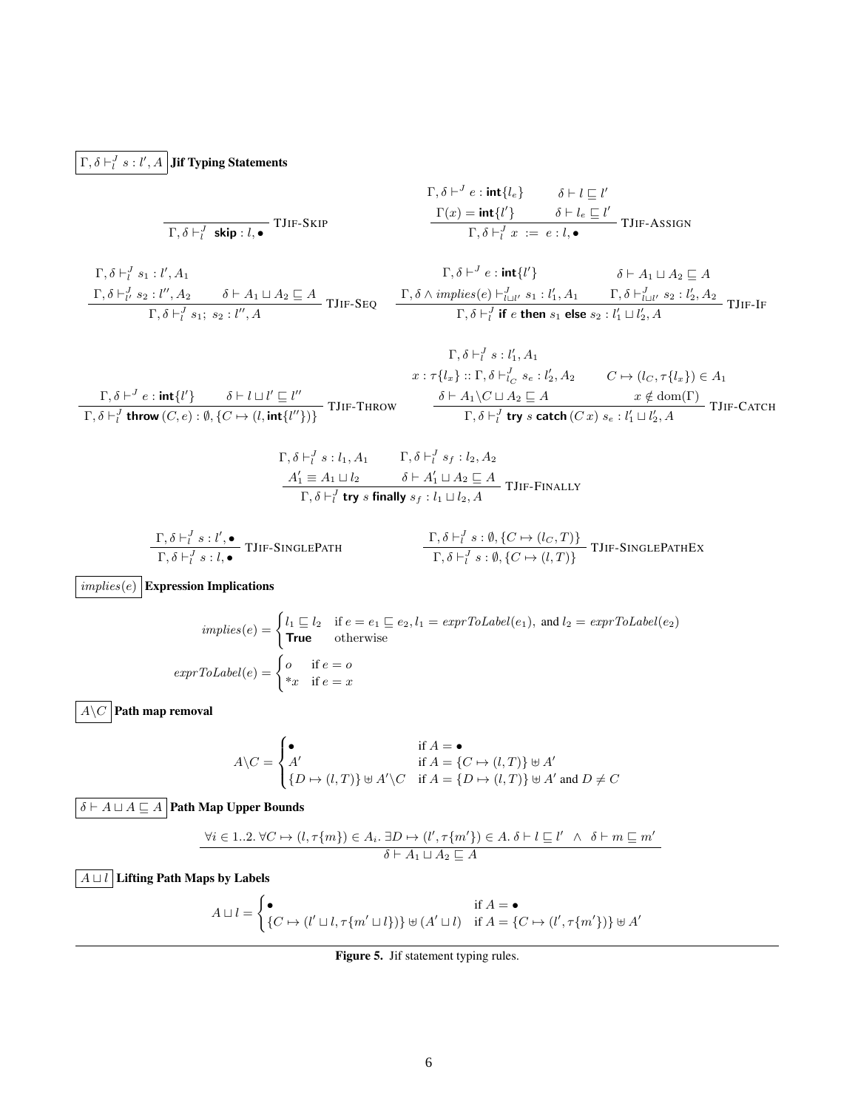# $\Gamma, \delta \vdash^J_l s : l', A \, \big| \, \textbf{Jif }\textbf{Typing \, Statements}$

$$
\Gamma, \delta \vdash^{J} e : \text{int}\{l_{e}\} \qquad \delta \vdash l \sqsubseteq l'
$$
\n
$$
\Gamma, \delta \vdash^{J} \text{skip} : l, \bullet
$$
\n
$$
\Gamma, \delta \vdash^{J} \text{skip} : l, \bullet
$$
\n
$$
\Gamma, \delta \vdash^{J} \text{skip} : l, \bullet
$$
\n
$$
\Gamma, \delta \vdash^{J} \text{skip} : l, \bullet
$$
\n
$$
\Gamma, \delta \vdash^{J} \text{skip} : l, \bullet
$$
\n
$$
\Gamma, \delta \vdash^{J} \text{skip} : l, \bullet
$$
\n
$$
\Gamma, \delta \vdash^{J} \text{skip} : l, \bullet
$$

$$
\begin{array}{ccc}\n\Gamma, \delta \vdash^{J}_{l}s_{1} : l', A_{1} & \Gamma, \delta \vdash^{J}e : \text{int}\{l'\} & \delta \vdash A_{1} \sqcup A_{2} \sqsubseteq A \\
\frac{\Gamma, \delta \vdash^{J}_{l'}s_{2} : l'', A_{2} & \delta \vdash A_{1} \sqcup A_{2} \sqsubseteq A}{\Gamma, \delta \vdash^{J}_{l'}s_{1}; s_{2} : l'', A} & \text{IJIF-SEQ} & \frac{\Gamma, \delta \wedge \text{implies}(e) \vdash^{J}_{l \sqcup l'} s_{1} : l'_{1}, A_{1} & \Gamma, \delta \vdash^{J}_{l \sqcup l'} s_{2} : l'_{2}, A_{2}}{\Gamma, \delta \vdash^{J}_{l} \text{ if } e \text{ then } s_{1} \text{ else } s_{2} : l'_{1} \sqcup l'_{2}, A} & \text{JIIF-IF} & \frac{\Gamma, \delta \vdash^{J}_{l \sqcup l'}s_{2} : l''_{2} : l''_{2} : l''_{2} : l''_{2} : l''_{2} : l''_{2} : l''_{2} : l''_{2} : l''_{2} : l''_{2} : l''_{2} : l''_{2} : l''_{2} : l''_{2} : l''_{2} : l''_{2} : l''_{2} : l''_{2} : l''_{2} : l''_{2} : l''_{2} : l''_{2} : l''_{2} : l''_{2} : l''_{2} : l''_{2} : l''_{2} : l''_{2} : l''_{2} : l''_{2} : l''_{2} : l''_{2} : l''_{2} : l''_{2} : l''_{2} : l''_{2} : l''_{2} : l''_{2} : l''_{2} : l''_{2} : l''_{2} : l''_{2} : l''_{2} : l''_{2} : l''_{2} : l''_{2} : l''_{2} : l''_{2} : l''_{2} : l''_{2} : l''_{2} : l''_{2} : l''_{2} : l''_{2} : l''_{2} : l''_{2} : l''_{2} : l''_{2} : l''_{2} : l''_{2} : l''_{2} : l''_{2} : l''_{2} : l''_{2} : l''_{2} : l''_{2} : l''_{2} : l''_{2} : l''_{2} : l''_{2} : l''_{2} : l''_{2} : l''_{2
$$

$$
\Gamma, \delta \vdash^{J}_{l} s : l'_{1}, A_{1}
$$
\n
$$
x : \tau \{l_{x}\} :: \Gamma, \delta \vdash^{J}_{l} s : l'_{2}, A_{2} \qquad C \mapsto (l_{C}, \tau \{l_{x}\}) \in A_{1}
$$
\n
$$
\frac{\Gamma, \delta \vdash^{J} e : \text{int}\{l'\}}{\Gamma, \delta \vdash^{J}_{l} \text{ throw } (C, e) : \emptyset, \{C \mapsto (l, \text{int}\{l''\})\}} \text{TIIF-THEOW} \qquad \frac{\delta \vdash A_{1} \setminus C \sqcup A_{2} \sqsubseteq A \qquad x \notin \text{dom}(\Gamma)}{\Gamma, \delta \vdash^{J}_{l} \text{ try } s \text{ catch } (C x) s_{e} : l'_{1} \sqcup l'_{2}, A} \text{TIIF-CATCH}
$$

$$
\Gamma, \delta \vdash_l^J s : l_1, A_1 \qquad \Gamma, \delta \vdash_l^J s_f : l_2, A_2
$$
\n
$$
\frac{A'_1 \equiv A_1 \sqcup l_2 \qquad \delta \vdash A'_1 \sqcup A_2 \sqsubseteq A}{\Gamma, \delta \vdash_l^J \text{ try } s \text{ finally } s_f : l_1 \sqcup l_2, A} \text{ TJIF-FINALLY}
$$

$$
\frac{\Gamma, \delta \vdash_l^J s : l', \bullet}{\Gamma, \delta \vdash_l^J s : l, \bullet} \text{TIIF-SINGLEPATH} \qquad \qquad \frac{\Gamma, \delta \vdash_l^J s : \emptyset, \{C \mapsto (l_C, T)\}}{\Gamma, \delta \vdash_l^J s : \emptyset, \{C \mapsto (l, T)\}} \text{TIIF-SINGLEPATHEx}
$$

 $\overline{implies(e)}$  Expression Implications

$$
implies(e) = \begin{cases} l_1 \sqsubseteq l_2 & \text{if } e = e_1 \sqsubseteq e_2, l_1 = \text{exprToLabel}(e_1), \text{ and } l_2 = \text{exprToLabel}(e_2) \\ \text{True} & \text{otherwise} \end{cases}
$$
\n
$$
exprToLabel(e) = \begin{cases} o & \text{if } e = o \\ *x & \text{if } e = x \end{cases}
$$

 $\overline{A\backslash C}$  Path map removal

$$
A \backslash C = \begin{cases} \bullet & \text{if } A = \bullet \\ A' & \text{if } A = \{C \mapsto (l,T)\} \uplus A' \\ \{D \mapsto (l,T)\} \uplus A' \backslash C & \text{if } A = \{D \mapsto (l,T)\} \uplus A' \text{ and } D \neq C \end{cases}
$$

 $\boxed{\delta \vdash A \sqcup A \sqsubseteq A}$  Path Map Upper Bounds

$$
\forall i \in 1..2. \ \forall C \mapsto (l, \tau\{m\}) \in A_i. \ \exists D \mapsto (l', \tau\{m'\}) \in A. \ \delta \vdash l \sqsubseteq l' \ \land \ \delta \vdash m \sqsubseteq m' \delta \vdash A_1 \sqcup A_2 \sqsubseteq A
$$

 $\boxed{A \sqcup l}$  Lifting Path Maps by Labels

$$
A \sqcup l = \begin{cases} \bullet & \text{if } A = \bullet \\ \{C \mapsto (l' \sqcup l, \tau \{m' \sqcup l\})\} \uplus (A' \sqcup l) & \text{if } A = \{C \mapsto (l', \tau \{m'\})\} \uplus A' \end{cases}
$$

<span id="page-5-0"></span>Figure 5. Jif statement typing rules.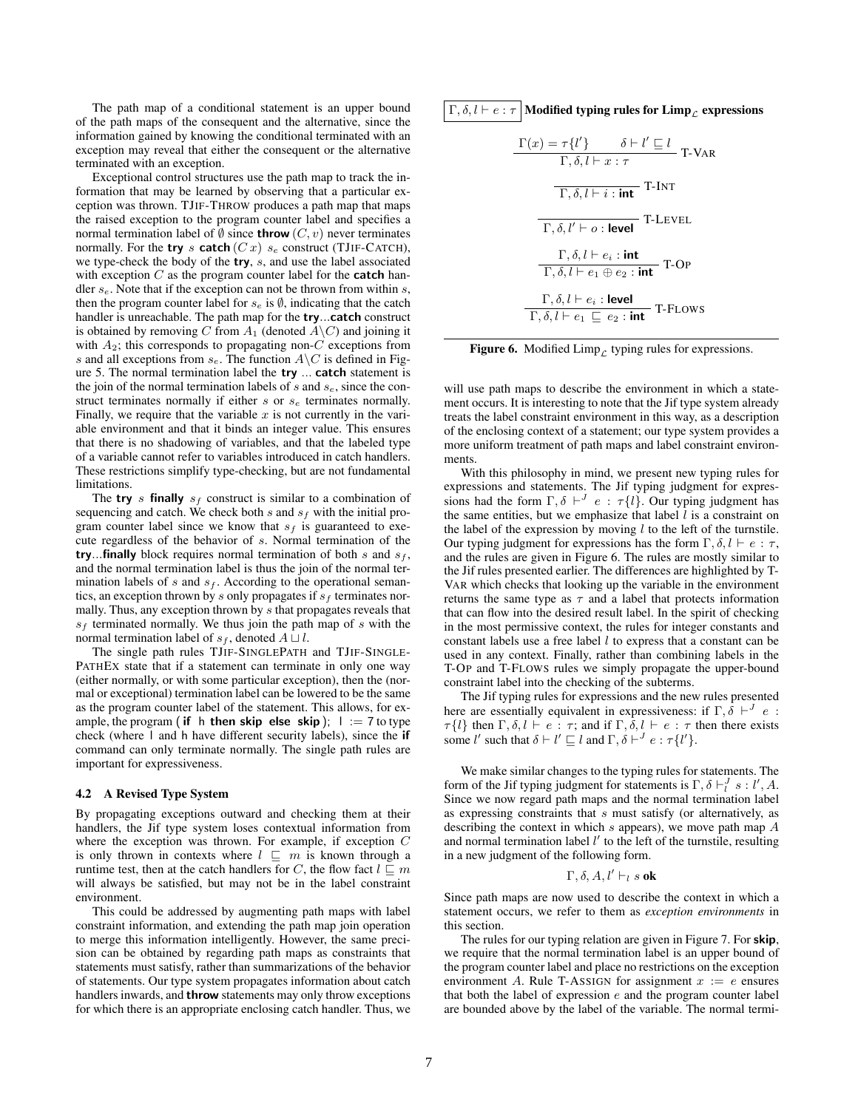The path map of a conditional statement is an upper bound of the path maps of the consequent and the alternative, since the information gained by knowing the conditional terminated with an exception may reveal that either the consequent or the alternative terminated with an exception.

Exceptional control structures use the path map to track the information that may be learned by observing that a particular exception was thrown. TJIF-THROW produces a path map that maps the raised exception to the program counter label and specifies a normal termination label of  $\emptyset$  since **throw**  $(C, v)$  never terminates normally. For the try s catch  $(Cx)$  s<sub>e</sub> construct (TJIF-CATCH), we type-check the body of the try, s, and use the label associated with exception  $C$  as the program counter label for the **catch** handler  $s_e$ . Note that if the exception can not be thrown from within s, then the program counter label for  $s_e$  is  $\emptyset$ , indicating that the catch handler is unreachable. The path map for the try...catch construct is obtained by removing C from  $A_1$  (denoted  $A\backslash C$ ) and joining it with  $A_2$ ; this corresponds to propagating non- $C$  exceptions from s and all exceptions from  $s_e$ . The function  $A \backslash C$  is defined in Figure [5.](#page-5-0) The normal termination label the try ... catch statement is the join of the normal termination labels of  $s$  and  $s_e$ , since the construct terminates normally if either  $s$  or  $s_e$  terminates normally. Finally, we require that the variable  $x$  is not currently in the variable environment and that it binds an integer value. This ensures that there is no shadowing of variables, and that the labeled type of a variable cannot refer to variables introduced in catch handlers. These restrictions simplify type-checking, but are not fundamental limitations.

The try s finally  $s_f$  construct is similar to a combination of sequencing and catch. We check both  $s$  and  $s_f$  with the initial program counter label since we know that  $s_f$  is guaranteed to execute regardless of the behavior of s. Normal termination of the try...finally block requires normal termination of both  $s$  and  $s_f$ , and the normal termination label is thus the join of the normal termination labels of  $s$  and  $s_f$ . According to the operational semantics, an exception thrown by s only propagates if  $s_f$  terminates normally. Thus, any exception thrown by s that propagates reveals that  $s_f$  terminated normally. We thus join the path map of s with the normal termination label of  $s_f$ , denoted  $A \sqcup l$ .

The single path rules TJIF-SINGLEPATH and TJIF-SINGLE-PATHEX state that if a statement can terminate in only one way (either normally, or with some particular exception), then the (normal or exceptional) termination label can be lowered to be the same as the program counter label of the statement. This allows, for example, the program (if h then skip else skip);  $\vert$  := 7 to type check (where l and h have different security labels), since the if command can only terminate normally. The single path rules are important for expressiveness.

#### <span id="page-6-0"></span>4.2 A Revised Type System

By propagating exceptions outward and checking them at their handlers, the Jif type system loses contextual information from where the exception was thrown. For example, if exception C is only thrown in contexts where  $l \sqsubseteq m$  is known through a runtime test, then at the catch handlers for C, the flow fact  $l \sqsubseteq m$ will always be satisfied, but may not be in the label constraint environment.

This could be addressed by augmenting path maps with label constraint information, and extending the path map join operation to merge this information intelligently. However, the same precision can be obtained by regarding path maps as constraints that statements must satisfy, rather than summarizations of the behavior of statements. Our type system propagates information about catch handlers inwards, and throw statements may only throw exceptions for which there is an appropriate enclosing catch handler. Thus, we  $\Gamma, \delta, l \vdash e : \tau$  Modified typing rules for Limp<sub>c</sub> expressions

$$
\frac{\Gamma(x) = \tau\{l'\}}{\Gamma, \delta, l \vdash x : \tau}
$$
 T-VAR  
\n
$$
\frac{\overline{\Gamma, \delta, l \vdash i : \text{int}}}{\Gamma, \delta, l \vdash i : \text{int}}
$$
 T-INT  
\n
$$
\frac{\Gamma, \delta, l \vdash e_i : \text{int}}{\Gamma, \delta, l \vdash e_1 \oplus e_2 : \text{int}}
$$
 T-OP  
\n
$$
\frac{\Gamma, \delta, l \vdash e_i : \text{level}}{\Gamma, \delta, l \vdash e_1 \sqsubseteq e_2 : \text{int}}
$$
 T-Flows

<span id="page-6-1"></span>**Figure 6.** Modified Limp<sub>c</sub> typing rules for expressions.

will use path maps to describe the environment in which a statement occurs. It is interesting to note that the Jif type system already treats the label constraint environment in this way, as a description of the enclosing context of a statement; our type system provides a more uniform treatment of path maps and label constraint environments.

With this philosophy in mind, we present new typing rules for expressions and statements. The Jif typing judgment for expressions had the form  $\Gamma, \delta \vdash^J e : \tau \{l\}$ . Our typing judgment has the same entities, but we emphasize that label  $l$  is a constraint on the label of the expression by moving  $l$  to the left of the turnstile. Our typing judgment for expressions has the form  $\Gamma$ ,  $\delta$ ,  $l \vdash e : \tau$ , and the rules are given in Figure [6.](#page-6-1) The rules are mostly similar to the Jif rules presented earlier. The differences are highlighted by T-VAR which checks that looking up the variable in the environment returns the same type as  $\tau$  and a label that protects information that can flow into the desired result label. In the spirit of checking in the most permissive context, the rules for integer constants and constant labels use a free label  $l$  to express that a constant can be used in any context. Finally, rather than combining labels in the T-OP and T-FLOWS rules we simply propagate the upper-bound constraint label into the checking of the subterms.

The Jif typing rules for expressions and the new rules presented here are essentially equivalent in expressiveness: if  $\Gamma$ ,  $\overline{\delta}$   $\vdash^{J}$  e :  $\tau\{l\}$  then  $\Gamma, \delta, l \vdash e : \tau$ ; and if  $\Gamma, \delta, l \vdash e : \tau$  then there exists some l' such that  $\delta \vdash l' \sqsubseteq l$  and  $\Gamma, \delta \vdash^J e : \tau \{l'\}.$ 

We make similar changes to the typing rules for statements. The form of the Jif typing judgment for statements is  $\Gamma$ ,  $\delta \vdash_l^J s : l', A$ . Since we now regard path maps and the normal termination label as expressing constraints that s must satisfy (or alternatively, as describing the context in which s appears), we move path map  $A$ and normal termination label  $l'$  to the left of the turnstile, resulting in a new judgment of the following form.

$$
\Gamma, \delta, A, l' \vdash_l s \textbf{ ok}
$$

Since path maps are now used to describe the context in which a statement occurs, we refer to them as *exception environments* in this section.

The rules for our typing relation are given in Figure [7.](#page-7-0) For skip, we require that the normal termination label is an upper bound of the program counter label and place no restrictions on the exception environment A. Rule T-ASSIGN for assignment  $x := e$  ensures that both the label of expression  $e$  and the program counter label are bounded above by the label of the variable. The normal termi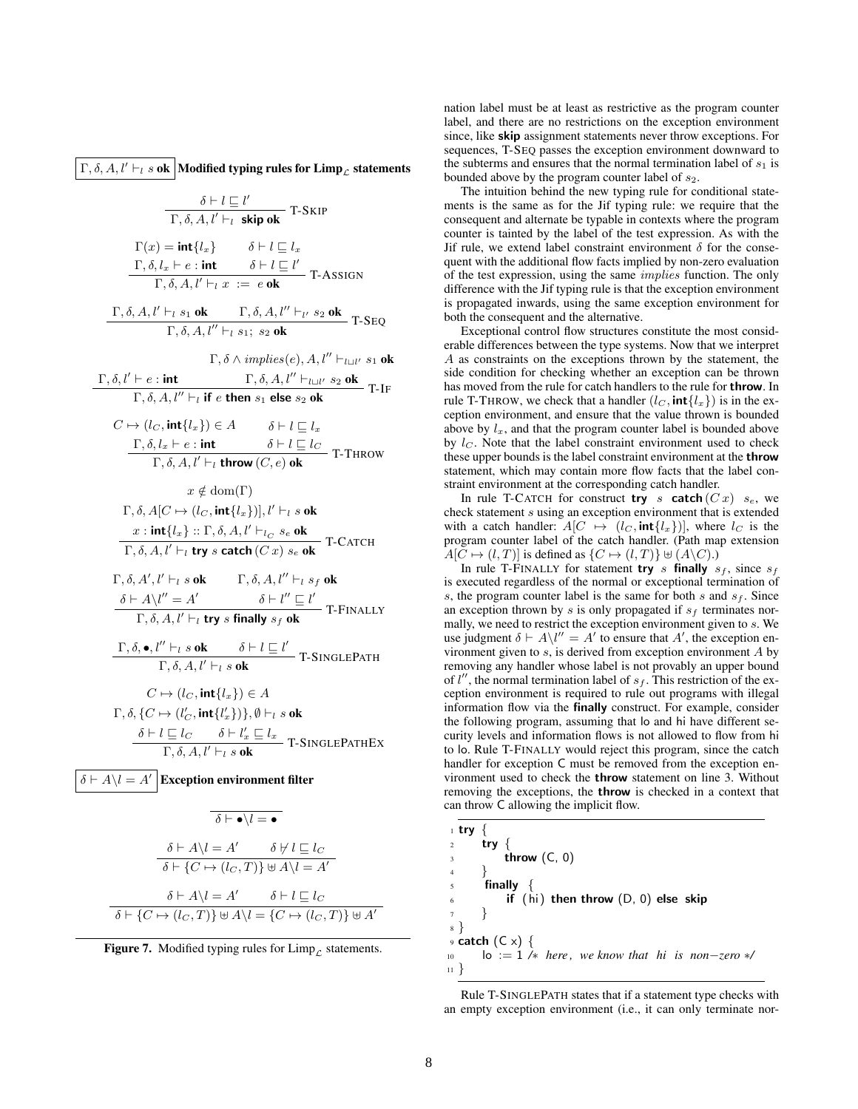Γ, δ, Α,  $l' \vdash_l s$  ok | Modified typing rules for Limp<sub>L</sub> statements

$$
\frac{\delta \vdash l \sqsubseteq l'}{\Gamma, \delta, A, l' \vdash_l \textbf{skip ok}} \text{ T-SKIP}
$$

$$
\Gamma(x) = \text{int}\{l_x\} \qquad \delta \vdash l \sqsubseteq l_x
$$
\n
$$
\frac{\Gamma, \delta, l_x \vdash e : \text{int}}{\Gamma, \delta, A, l' \vdash_l x := e \text{ ok}} \qquad \text{T-ASSIGN}
$$

 $\frac{\Gamma, \delta, A, l' \vdash_l s_1 \mathbf{ok}}{\Gamma, \delta, A, l'' \vdash_l s_1; s_2 \mathbf{ok}}$  T-SEQ

 $\Gamma, \delta \wedge implies (e), A, l'' \vdash_{l \sqcup l'} s_1$  ok

$$
\frac{\Gamma, \delta, l' \vdash e : \textbf{int}}{\Gamma, \delta, A, l'' \vdash_l \textbf{if } e \textbf{ then } s_1 \textbf{ else } s_2 \textbf{ ok}} \textbf{T-IF}
$$

$$
C \mapsto (l_C, \mathbf{int}{l_x}) \in A \qquad \delta \vdash l \sqsubseteq l_x
$$
  

$$
\frac{\Gamma, \delta, l_x \vdash e : \mathbf{int}}{\Gamma, \delta, A, l' \vdash l \text{ throw } (C, e) \text{ ok}} \text{ T-THEOW}
$$

$$
x \notin \text{dom}(\Gamma)
$$
  
\n
$$
\Gamma, \delta, A[C \mapsto (lc, \text{int}\{l_x\})], l' \vdash_l s \text{ ok}
$$
  
\n
$$
x : \text{int}\{l_x\} :: \Gamma, \delta, A, l' \vdash_{lc} s_e \text{ ok}
$$
  
\n
$$
\Gamma, \delta, A, l' \vdash_l \text{try } s \text{ catch } (Cx) s_e \text{ ok}
$$
  
\n
$$
\Gamma\text{-CATEH}
$$

$$
\Gamma, \delta, A', l' \vdash_l s \textbf{ ok} \qquad \Gamma, \delta, A, l'' \vdash_l s_f \textbf{ ok}
$$
  
\n
$$
\frac{\delta \vdash A \setminus l'' = A'}{\Gamma, \delta, A, l' \vdash_l \textbf{try } s \textbf{ finally } s_f \textbf{ ok}} \qquad \textbf{T-FINALLY}
$$

$$
\frac{\Gamma, \delta, \bullet, l'' \vdash_l s \textbf{ ok}}{\Gamma, \delta, A, l' \vdash_l s \textbf{ ok}} \frac{\delta \vdash l \sqsubseteq l'}{\textbf{r-SINGLEPATH}}
$$

$$
C \mapsto (l_C, \text{int}\{l_x\}) \in A
$$
  
\n
$$
\Gamma, \delta, \{C \mapsto (l'_C, \text{int}\{l'_x\})\}, \emptyset \vdash_l s \text{ ok}
$$
  
\n
$$
\delta \vdash l \sqsubseteq l_C \qquad \delta \vdash l'_x \sqsubseteq l_x
$$
  
\n
$$
\Gamma, \delta, A, l' \vdash_l s \text{ ok}
$$
  
\n
$$
\Gamma, \delta, A, l' \vdash_l s \text{ ok}
$$

 $\delta \vdash A \setminus l = A' \, \big|$  Exception environment filter

$$
\overline{\delta \vdash \bullet \setminus l = \bullet}
$$
\n
$$
\overline{\delta \vdash A \setminus l = A' \qquad \delta \not\vdash l \sqsubseteq l_C}
$$
\n
$$
\overline{\delta \vdash \{C \mapsto (l_C, T)\} \uplus A \setminus l = A'}
$$
\n
$$
\overline{\delta \vdash A \setminus l = A' \qquad \delta \vdash l \sqsubseteq l_C}
$$
\n
$$
\overline{\delta \vdash \{C \mapsto (l_C, T)\} \uplus A \setminus l = \{C \mapsto (l_C, T)\} \uplus A'}
$$

<span id="page-7-0"></span>

nation label must be at least as restrictive as the program counter label, and there are no restrictions on the exception environment since, like skip assignment statements never throw exceptions. For sequences, T-SEQ passes the exception environment downward to the subterms and ensures that the normal termination label of  $s_1$  is bounded above by the program counter label of  $s_2$ .

The intuition behind the new typing rule for conditional statements is the same as for the Jif typing rule: we require that the consequent and alternate be typable in contexts where the program counter is tainted by the label of the test expression. As with the Jif rule, we extend label constraint environment  $\delta$  for the consequent with the additional flow facts implied by non-zero evaluation of the test expression, using the same implies function. The only difference with the Jif typing rule is that the exception environment is propagated inwards, using the same exception environment for both the consequent and the alternative.

Exceptional control flow structures constitute the most considerable differences between the type systems. Now that we interpret A as constraints on the exceptions thrown by the statement, the side condition for checking whether an exception can be thrown has moved from the rule for catch handlers to the rule for throw. In rule T-THROW, we check that a handler  $(l_C, \text{int}\lbrace l_x \rbrace)$  is in the exception environment, and ensure that the value thrown is bounded above by  $l_x$ , and that the program counter label is bounded above by  $l<sub>C</sub>$ . Note that the label constraint environment used to check these upper bounds is the label constraint environment at the **throw** statement, which may contain more flow facts that the label constraint environment at the corresponding catch handler.

In rule T-CATCH for construct try s catch  $(Cx)$  s<sub>e</sub>, we check statement s using an exception environment that is extended with a catch handler:  $A[C \mapsto (l_C, \text{int}\lbrace l_x \rbrace)]$ , where  $l_C$  is the program counter label of the catch handler. (Path map extension  $A[C \mapsto (l, T)]$  is defined as  $\{C \mapsto (l, T)\} \uplus (A\backslash C)$ .)

In rule T-FINALLY for statement try s finally  $s_f$ , since  $s_f$ is executed regardless of the normal or exceptional termination of s, the program counter label is the same for both s and  $s_f$ . Since an exception thrown by s is only propagated if  $s_f$  terminates normally, we need to restrict the exception environment given to s. We use judgment  $\delta \vdash A\setminus l'' = A'$  to ensure that A', the exception environment given to  $s$ , is derived from exception environment  $A$  by removing any handler whose label is not provably an upper bound of  $l''$ , the normal termination label of  $s_f$ . This restriction of the exception environment is required to rule out programs with illegal information flow via the finally construct. For example, consider the following program, assuming that lo and hi have different security levels and information flows is not allowed to flow from hi to lo. Rule T-FINALLY would reject this program, since the catch handler for exception C must be removed from the exception environment used to check the throw statement on line 3. Without removing the exceptions, the throw is checked in a context that can throw C allowing the implicit flow.

|                  | $1$ try         |                                                      |
|------------------|-----------------|------------------------------------------------------|
| 2 <sup>1</sup>   |                 | try $\{$                                             |
| $\overline{3}$   |                 | throw $(C, 0)$                                       |
| $\overline{4}$   |                 |                                                      |
| $5^{\circ}$      |                 | finally                                              |
|                  | $6\overline{6}$ | if $(hi)$ then throw $(D, 0)$ else skip              |
| $\overline{7}$   |                 |                                                      |
|                  |                 |                                                      |
|                  |                 | $\varphi$ catch $(C \times)$ {                       |
| 10 <sup>10</sup> |                 | $\log n = 1$ /* here, we know that hi is non-zero */ |
| $11 \frac{1}{2}$ |                 |                                                      |

Rule T-SINGLEPATH states that if a statement type checks with an empty exception environment (i.e., it can only terminate nor-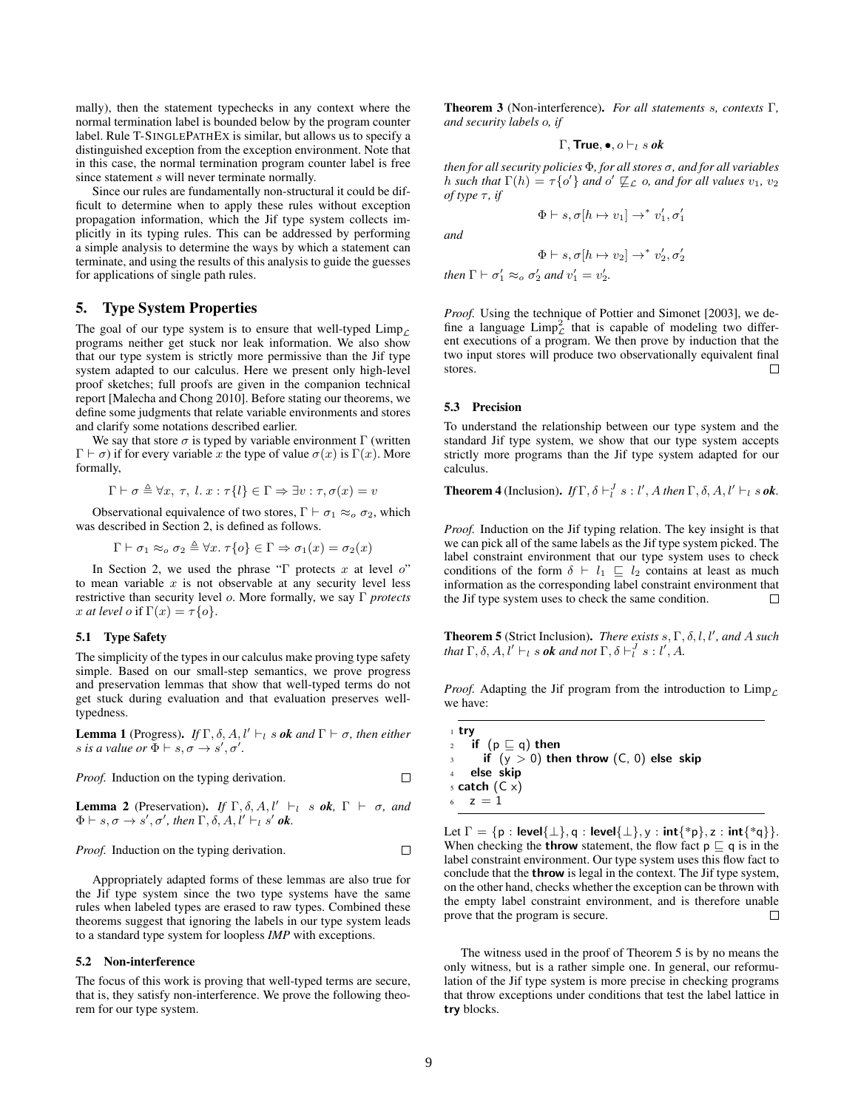mally), then the statement typechecks in any context where the normal termination label is bounded below by the program counter label. Rule T-SINGLEPATHEX is similar, but allows us to specify a distinguished exception from the exception environment. Note that in this case, the normal termination program counter label is free since statement s will never terminate normally.

Since our rules are fundamentally non-structural it could be difficult to determine when to apply these rules without exception propagation information, which the Jif type system collects implicitly in its typing rules. This can be addressed by performing a simple analysis to determine the ways by which a statement can terminate, and using the results of this analysis to guide the guesses for applications of single path rules.

# 5. Type System Properties

The goal of our type system is to ensure that well-typed  $\lim_{\mathcal{L}}$ programs neither get stuck nor leak information. We also show that our type system is strictly more permissive than the Jif type system adapted to our calculus. Here we present only high-level proof sketches; full proofs are given in the companion technical report [\[Malecha and Chong 2010\]](#page-11-23). Before stating our theorems, we define some judgments that relate variable environments and stores and clarify some notations described earlier.

We say that store  $\sigma$  is typed by variable environment  $\Gamma$  (written  $\Gamma \vdash \sigma$ ) if for every variable x the type of value  $\sigma(x)$  is  $\Gamma(x)$ . More formally,

$$
\Gamma \vdash \sigma \triangleq \forall x, \tau, l. x : \tau\{l\} \in \Gamma \Rightarrow \exists v : \tau, \sigma(x) = v
$$

Observational equivalence of two stores,  $\Gamma \vdash \sigma_1 \approx_o \sigma_2$ , which was described in Section [2,](#page-1-0) is defined as follows.

$$
\Gamma \vdash \sigma_1 \approx_o \sigma_2 \triangleq \forall x. \ \tau \{o\} \in \Gamma \Rightarrow \sigma_1(x) = \sigma_2(x)
$$

In Section [2,](#page-1-0) we used the phrase "Γ protects  $x$  at level  $o$ " to mean variable  $x$  is not observable at any security level less restrictive than security level o. More formally, we say Γ *protects* x at level o if  $\Gamma(x) = \tau \{o\}.$ 

#### 5.1 Type Safety

The simplicity of the types in our calculus make proving type safety simple. Based on our small-step semantics, we prove progress and preservation lemmas that show that well-typed terms do not get stuck during evaluation and that evaluation preserves welltypedness.

**Lemma 1** (Progress). *If*  $\Gamma$ ,  $\delta$ ,  $A$ ,  $l' \vdash_l s$  *ok and*  $\Gamma \vdash \sigma$ , *then either s* is a value or  $\Phi \vdash s, \sigma \rightarrow s', \sigma'.$ 

*Proof.* Induction on the typing derivation.

**Lemma 2** (Preservation). *If*  $\Gamma$ ,  $\delta$ ,  $A$ ,  $l' \vdash_l s$  *ok*,  $\Gamma \vdash \sigma$ *, and*  $\Phi \vdash s, \sigma \rightarrow s', \sigma', \text{ then } \Gamma, \delta, A, l' \vdash_l s' \textbf{ ok}.$ 

*Proof.* Induction on the typing derivation. 
$$
\Box
$$

Appropriately adapted forms of these lemmas are also true for the Jif type system since the two type systems have the same rules when labeled types are erased to raw types. Combined these theorems suggest that ignoring the labels in our type system leads to a standard type system for loopless *IMP* with exceptions.

#### <span id="page-8-0"></span>5.2 Non-interference

The focus of this work is proving that well-typed terms are secure, that is, they satisfy non-interference. We prove the following theorem for our type system.

Theorem 3 (Non-interference). *For all statements* s*, contexts* Γ*, and security labels* o*, if*

$$
\Gamma, \mathsf{True}, \bullet, o \vdash_l s \mathit{ok}
$$

*then for all security policies* Φ*, for all stores* σ*, and for all variables* h such that  $\Gamma(h) = \tau \{o'\}$  and  $o' \not\sqsubseteq_{\mathcal{L}} o$ , and for all values  $v_1$ ,  $v_2$ *of type*  $\tau$ *, if* 

 $\Phi \vdash s, \sigma[h \mapsto v_1] \rightarrow^* v'_1, \sigma'_1$ 

*and*

$$
\Phi \vdash s, \sigma[h \mapsto v_2] \rightarrow^* v_2', \sigma_2'
$$

*then*  $\Gamma \vdash \sigma'_1 \approx_o \sigma'_2$  *and*  $v'_1 = v'_2$ *.* 

*Proof.* Using the technique of [Pottier and Simonet](#page-11-15) [\[2003\]](#page-11-15), we define a language  $\text{Limp}_\mathcal{L}^2$  that is capable of modeling two different executions of a program. We then prove by induction that the two input stores will produce two observationally equivalent final stores. □

# <span id="page-8-1"></span>5.3 Precision

To understand the relationship between our type system and the standard Jif type system, we show that our type system accepts strictly more programs than the Jif type system adapted for our calculus.

# **Theorem 4** (Inclusion). *If*  $\Gamma$ ,  $\delta \vdash_l^J s : l'$ , A then  $\Gamma$ ,  $\delta$ , A,  $l' \vdash_l s$  ok.

*Proof.* Induction on the Jif typing relation. The key insight is that we can pick all of the same labels as the Jif type system picked. The label constraint environment that our type system uses to check conditions of the form  $\delta \vdash l_1 \sqsubseteq l_2$  contains at least as much information as the corresponding label constraint environment that the Jif type system uses to check the same condition.  $\Box$ 

**Theorem 5** (Strict Inclusion). *There exists s, Γ, δ, l, l', and A such that*  $\Gamma$ ,  $\delta$ ,  $A$ ,  $l' \vdash_l s$  *ok and not*  $\Gamma$ ,  $\delta \vdash_l^J s : l'$ ,  $A$ .

*Proof.* Adapting the Jif program from the introduction to  $\lim_{\mathcal{L}}$ we have:

<sup>1</sup> try 2 if  $(p \sqsubseteq q)$  then if  $(y > 0)$  then throw  $(C, 0)$  else skip else skip  $5$  catch  $(C \times)$ 6  $z = 1$ 

Let  $\Gamma = \{p : \text{level}\{\perp\}, q : \text{level}\{\perp\}, y : \text{int}\{\text{*p}\}, z : \text{int}\{\text{*q}\}\}.$ When checking the **throw** statement, the flow fact  $p \sqsubseteq q$  is in the label constraint environment. Our type system uses this flow fact to conclude that the throw is legal in the context. The Jif type system, on the other hand, checks whether the exception can be thrown with the empty label constraint environment, and is therefore unable prove that the program is secure.  $\Box$ 

The witness used in the proof of Theorem 5 is by no means the only witness, but is a rather simple one. In general, our reformulation of the Jif type system is more precise in checking programs that throw exceptions under conditions that test the label lattice in try blocks.

 $\Box$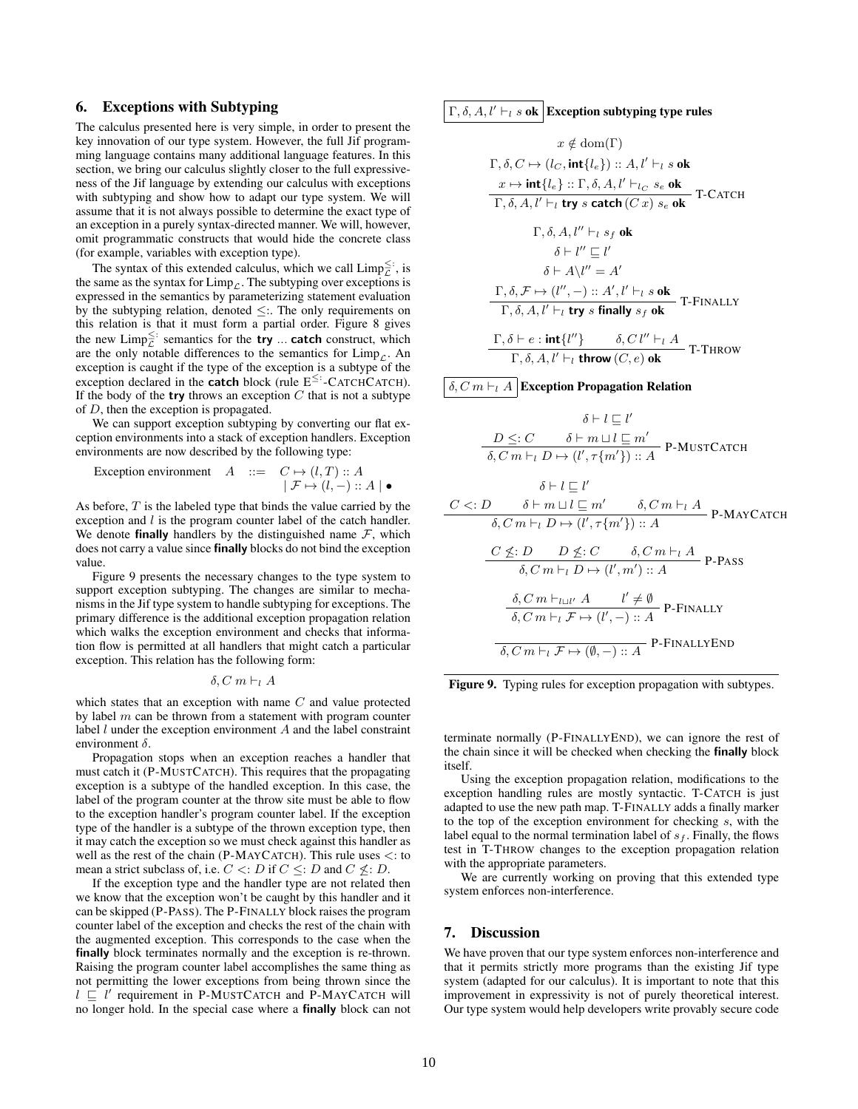# <span id="page-9-0"></span>6. Exceptions with Subtyping

The calculus presented here is very simple, in order to present the key innovation of our type system. However, the full Jif programming language contains many additional language features. In this section, we bring our calculus slightly closer to the full expressiveness of the Jif language by extending our calculus with exceptions with subtyping and show how to adapt our type system. We will assume that it is not always possible to determine the exact type of an exception in a purely syntax-directed manner. We will, however, omit programmatic constructs that would hide the concrete class (for example, variables with exception type).

The syntax of this extended calculus, which we call  $\text{Limp}_{\mathcal{L}}^{\leq}$ ; is the same as the syntax for  $\lim_{\mathcal{L}}$ . The subtyping over exceptions is expressed in the semantics by parameterizing statement evaluation by the subtyping relation, denoted ≤:. The only requirements on this relation is that it must form a partial order. Figure [8](#page-10-3) gives the new  $\text{Limp}_{\mathcal{L}}^{\leq}$ : semantics for the **try** ... **catch** construct, which are the only notable differences to the semantics for  $\lim_{\mathcal{L}}$ . An exception is caught if the type of the exception is a subtype of the exception declared in the **catch** block (rule  $E^{\leq}$ : -CATCHCATCH). If the body of the **try** throws an exception  $C$  that is not a subtype of  $D$ , then the exception is propagated.

We can support exception subtyping by converting our flat exception environments into a stack of exception handlers. Exception environments are now described by the following type:

$$
\begin{array}{rcl}\text{Exception environment} & A & ::= & C \mapsto (l,T) :: A \\ & & | \mathcal{F} \mapsto (l,-) :: A | \; \bullet \end{array}
$$

As before, T is the labeled type that binds the value carried by the exception and  $l$  is the program counter label of the catch handler. We denote **finally** handlers by the distinguished name  $\mathcal{F}$ , which does not carry a value since finally blocks do not bind the exception value.

Figure [9](#page-9-2) presents the necessary changes to the type system to support exception subtyping. The changes are similar to mechanisms in the Jif type system to handle subtyping for exceptions. The primary difference is the additional exception propagation relation which walks the exception environment and checks that information flow is permitted at all handlers that might catch a particular exception. This relation has the following form:

$$
\delta, C m \vdash_l A
$$

which states that an exception with name  $C$  and value protected by label  $m$  can be thrown from a statement with program counter label  $l$  under the exception environment  $A$  and the label constraint environment  $\delta$ .

Propagation stops when an exception reaches a handler that must catch it (P-MUSTCATCH). This requires that the propagating exception is a subtype of the handled exception. In this case, the label of the program counter at the throw site must be able to flow to the exception handler's program counter label. If the exception type of the handler is a subtype of the thrown exception type, then it may catch the exception so we must check against this handler as well as the rest of the chain (P-MAYCATCH). This rule uses  $\lt$ : to mean a strict subclass of, i.e.  $C \leq D$  if  $C \leq D$  and  $C \nleq D$ .

If the exception type and the handler type are not related then we know that the exception won't be caught by this handler and it can be skipped (P-PASS). The P-FINALLY block raises the program counter label of the exception and checks the rest of the chain with the augmented exception. This corresponds to the case when the finally block terminates normally and the exception is re-thrown. Raising the program counter label accomplishes the same thing as not permitting the lower exceptions from being thrown since the  $l \sqsubseteq l'$  requirement in P-MUSTCATCH and P-MAYCATCH will no longer hold. In the special case where a finally block can not

# $\Gamma$ ,  $\delta$ ,  $A$ ,  $l' \vdash_l s$  ok Exception subtyping type rules

$$
x \notin \text{dom}(\Gamma)
$$
\n
$$
\Gamma, \delta, C \mapsto (l_C, \text{int}\{l_e\}) :: A, l' \vdash_l s \text{ ok}
$$
\n
$$
\frac{x \mapsto \text{int}\{l_e\} :: \Gamma, \delta, A, l' \vdash_l c \ s_e \text{ ok}}{\Gamma, \delta, A, l' \vdash_l \text{try } s \text{ catch } (C x) \ s_e \text{ ok}}
$$
\n
$$
\Gamma, \delta, A, l'' \vdash_l s_f \text{ ok}
$$
\n
$$
\delta \vdash l'' \sqsubseteq l'
$$
\n
$$
\delta \vdash A \setminus l'' = A'
$$
\n
$$
\frac{\Gamma, \delta, \mathcal{F} \mapsto (l'', \text{)} :: A', l' \vdash_l s \text{ ok}}{\Gamma, \delta, A, l' \vdash_l \text{try } s \text{ finally } s_f \text{ ok}}
$$
\n
$$
\frac{\Gamma, \delta \vdash e : \text{int}\{l''\}}{\Gamma, \delta, A, l' \vdash_l \text{ throw } (C, e) \text{ ok}}
$$
\nT-THROW

δ,  $C m \vdash_l A$  Exception Propagation Relation

$$
\delta \vdash l \sqsubseteq l'
$$
\n
$$
\frac{D \leq: C \quad \delta \vdash m \sqcup l \sqsubseteq m'}{\delta, C m \vdash_l D \mapsto (l', \tau\{m'\}): A} \text{ P-MUSTCATEH}
$$
\n
$$
\delta \vdash l \sqsubseteq l'
$$
\n
$$
C <: D \quad \delta \vdash m \sqcup l \sqsubseteq m' \quad \delta, C m \vdash_l A \text{ P-MAYCATEH}
$$
\n
$$
\delta, C m \vdash_l D \mapsto (l', \tau\{m'\}): A \quad \text{P-RASS}
$$
\n
$$
\frac{C \not\leq: D \quad D \not\leq: C \quad \delta, C m \vdash_l A}{\delta, C m \vdash_l D \mapsto (l', m'):: A} \text{ P-PASS}
$$
\n
$$
\frac{\delta, C m \vdash_{l \sqcup l'} A \quad l' \neq \emptyset}{\delta, C m \vdash_l \mathcal{F} \mapsto (l', \neg) :: A} \text{ P-FINALLYEND}
$$

<span id="page-9-2"></span>

terminate normally (P-FINALLYEND), we can ignore the rest of the chain since it will be checked when checking the finally block itself.

Using the exception propagation relation, modifications to the exception handling rules are mostly syntactic. T-CATCH is just adapted to use the new path map. T-FINALLY adds a finally marker to the top of the exception environment for checking s, with the label equal to the normal termination label of  $s_f$ . Finally, the flows test in T-THROW changes to the exception propagation relation with the appropriate parameters.

We are currently working on proving that this extended type system enforces non-interference.

# <span id="page-9-1"></span>7. Discussion

We have proven that our type system enforces non-interference and that it permits strictly more programs than the existing Jif type system (adapted for our calculus). It is important to note that this improvement in expressivity is not of purely theoretical interest. Our type system would help developers write provably secure code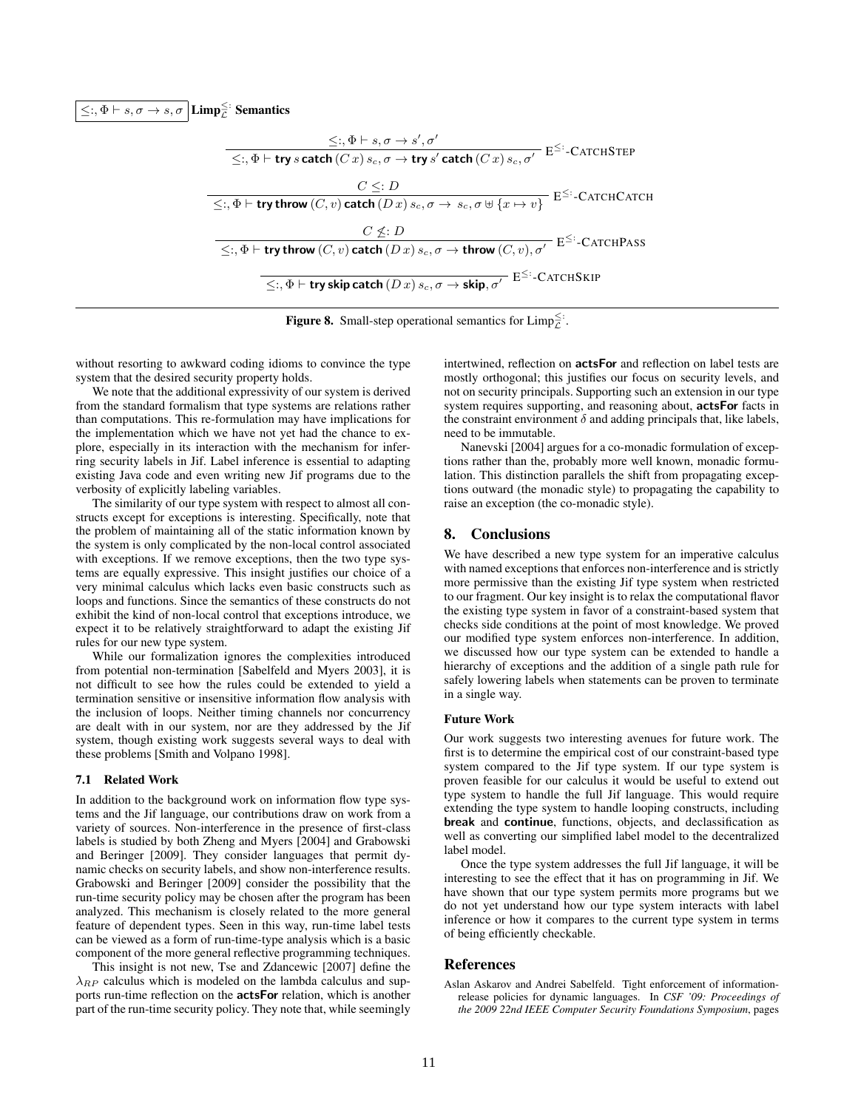$\leq$ :,  $\Phi \vdash s, \sigma \rightarrow s, \sigma \mid$  Limp $\frac{\leq}{\mathcal{L}}$ : Semantics

$$
\leq \, , \Phi \vdash s, \sigma \rightarrow s', \sigma'
$$
\n
$$
\leq \, , \Phi \vdash \text{try } s \text{ catch } (C \, x) \, s_c, \sigma \rightarrow \text{try } s' \text{ catch } (C \, x) \, s_c, \sigma' \quad \text{E}^{\leq} : \text{CATCHSTEP}
$$
\n
$$
\leq \, , \Phi \vdash \text{try throw } (C, v) \text{ catch } (D \, x) \, s_c, \sigma \rightarrow s_c, \sigma \uplus \{x \mapsto v\} \quad \text{E}^{\leq} : \text{CATCHCATCH}
$$
\n
$$
\leq \, , \Phi \vdash \text{try throw } (C, v) \text{ catch } (D \, x) \, s_c, \sigma \rightarrow \text{throw } (C, v), \sigma' \quad \text{E}^{\leq} : \text{CATCHPass}
$$
\n
$$
\leq \, , \Phi \vdash \text{try skip catch } (D \, x) \, s_c, \sigma \rightarrow \text{skip}, \sigma' \quad \text{E}^{\leq} : \text{CATCHSKIP}
$$

<span id="page-10-3"></span>**Figure 8.** Small-step operational semantics for  $\text{Limp}_{\mathcal{L}}^{\leq}$ .

without resorting to awkward coding idioms to convince the type system that the desired security property holds.

We note that the additional expressivity of our system is derived from the standard formalism that type systems are relations rather than computations. This re-formulation may have implications for the implementation which we have not yet had the chance to explore, especially in its interaction with the mechanism for inferring security labels in Jif. Label inference is essential to adapting existing Java code and even writing new Jif programs due to the verbosity of explicitly labeling variables.

The similarity of our type system with respect to almost all constructs except for exceptions is interesting. Specifically, note that the problem of maintaining all of the static information known by the system is only complicated by the non-local control associated with exceptions. If we remove exceptions, then the two type systems are equally expressive. This insight justifies our choice of a very minimal calculus which lacks even basic constructs such as loops and functions. Since the semantics of these constructs do not exhibit the kind of non-local control that exceptions introduce, we expect it to be relatively straightforward to adapt the existing Jif rules for our new type system.

While our formalization ignores the complexities introduced from potential non-termination [\[Sabelfeld and Myers 2003\]](#page-11-20), it is not difficult to see how the rules could be extended to yield a termination sensitive or insensitive information flow analysis with the inclusion of loops. Neither timing channels nor concurrency are dealt with in our system, nor are they addressed by the Jif system, though existing work suggests several ways to deal with these problems [\[Smith and Volpano 1998\]](#page-11-24).

#### <span id="page-10-1"></span>7.1 Related Work

In addition to the background work on information flow type systems and the Jif language, our contributions draw on work from a variety of sources. Non-interference in the presence of first-class labels is studied by both [Zheng and Myers](#page-11-25) [\[2004\]](#page-11-25) and [Grabowski](#page-11-26) [and Beringer](#page-11-26) [\[2009\]](#page-11-26). They consider languages that permit dynamic checks on security labels, and show non-interference results. [Grabowski and Beringer](#page-11-26) [\[2009\]](#page-11-26) consider the possibility that the run-time security policy may be chosen after the program has been analyzed. This mechanism is closely related to the more general feature of dependent types. Seen in this way, run-time label tests can be viewed as a form of run-time-type analysis which is a basic component of the more general reflective programming techniques.

This insight is not new, [Tse and Zdancewic](#page-11-12) [\[2007\]](#page-11-12) define the  $\lambda_{RP}$  calculus which is modeled on the lambda calculus and supports run-time reflection on the actsFor relation, which is another part of the run-time security policy. They note that, while seemingly

intertwined, reflection on actsFor and reflection on label tests are mostly orthogonal; this justifies our focus on security levels, and not on security principals. Supporting such an extension in our type system requires supporting, and reasoning about, actsFor facts in the constraint environment  $\delta$  and adding principals that, like labels, need to be immutable.

[Nanevski](#page-11-27) [\[2004\]](#page-11-27) argues for a co-monadic formulation of exceptions rather than the, probably more well known, monadic formulation. This distinction parallels the shift from propagating exceptions outward (the monadic style) to propagating the capability to raise an exception (the co-monadic style).

## <span id="page-10-2"></span>8. Conclusions

We have described a new type system for an imperative calculus with named exceptions that enforces non-interference and is strictly more permissive than the existing Jif type system when restricted to our fragment. Our key insight is to relax the computational flavor the existing type system in favor of a constraint-based system that checks side conditions at the point of most knowledge. We proved our modified type system enforces non-interference. In addition, we discussed how our type system can be extended to handle a hierarchy of exceptions and the addition of a single path rule for safely lowering labels when statements can be proven to terminate in a single way.

#### Future Work

Our work suggests two interesting avenues for future work. The first is to determine the empirical cost of our constraint-based type system compared to the Jif type system. If our type system is proven feasible for our calculus it would be useful to extend out type system to handle the full Jif language. This would require extending the type system to handle looping constructs, including break and continue, functions, objects, and declassification as well as converting our simplified label model to the decentralized label model.

Once the type system addresses the full Jif language, it will be interesting to see the effect that it has on programming in Jif. We have shown that our type system permits more programs but we do not yet understand how our type system interacts with label inference or how it compares to the current type system in terms of being efficiently checkable.

#### References

<span id="page-10-0"></span>Aslan Askarov and Andrei Sabelfeld. Tight enforcement of informationrelease policies for dynamic languages. In *CSF '09: Proceedings of the 2009 22nd IEEE Computer Security Foundations Symposium*, pages